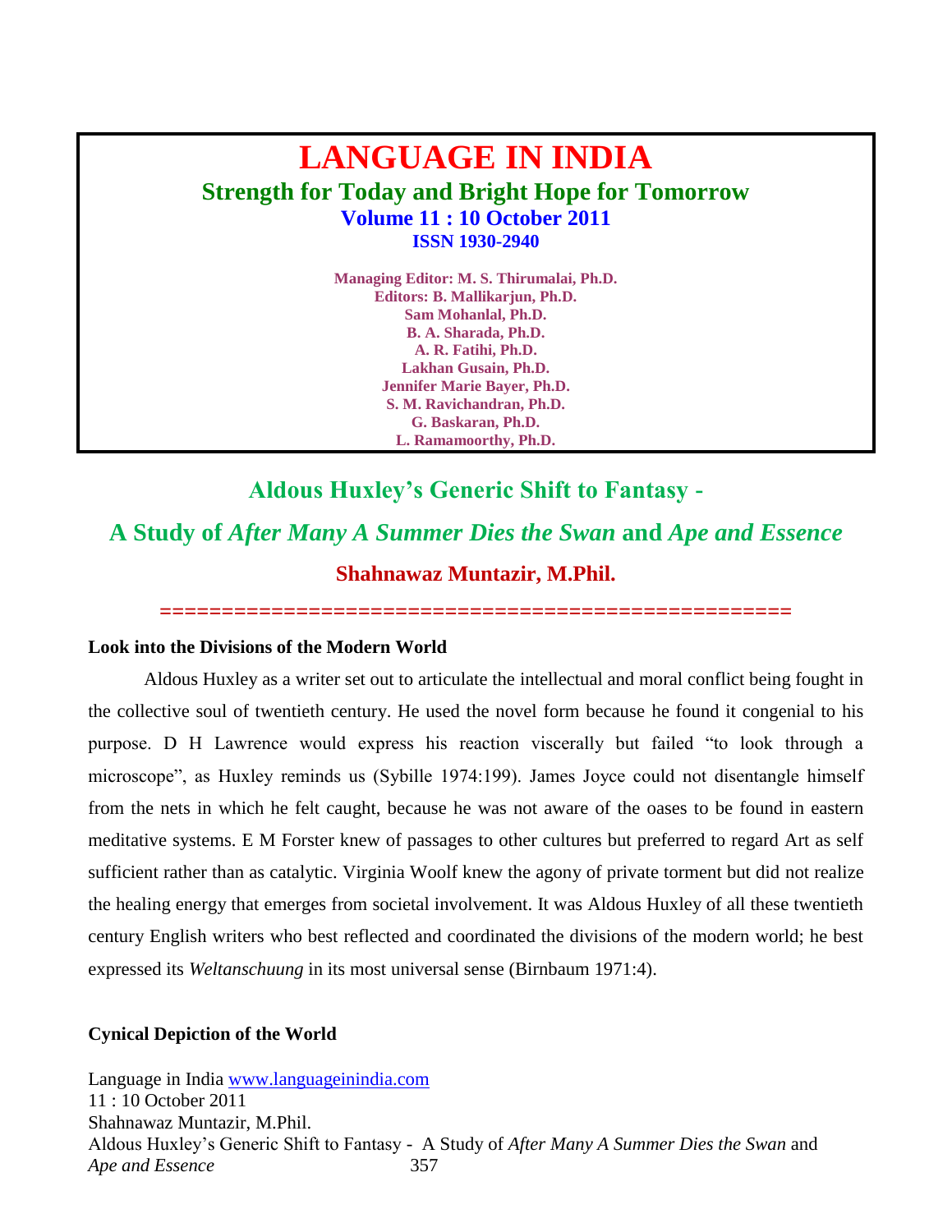## **LANGUAGE IN INDIA Strength for Today and Bright Hope for Tomorrow Volume 11 : 10 October 2011 ISSN 1930-2940**

**Managing Editor: M. S. Thirumalai, Ph.D. Editors: B. Mallikarjun, Ph.D. Sam Mohanlal, Ph.D. B. A. Sharada, Ph.D. A. R. Fatihi, Ph.D. Lakhan Gusain, Ph.D. Jennifer Marie Bayer, Ph.D. S. M. Ravichandran, Ph.D. G. Baskaran, Ph.D. L. Ramamoorthy, Ph.D.**

### **Aldous Huxley's Generic Shift to Fantasy -**

# **A Study of** *After Many A Summer Dies the Swan* **and** *Ape and Essence* **Shahnawaz Muntazir, M.Phil.**

**===================================================**

#### **Look into the Divisions of the Modern World**

Aldous Huxley as a writer set out to articulate the intellectual and moral conflict being fought in the collective soul of twentieth century. He used the novel form because he found it congenial to his purpose. D H Lawrence would express his reaction viscerally but failed "to look through a microscope", as Huxley reminds us (Sybille 1974:199). James Joyce could not disentangle himself from the nets in which he felt caught, because he was not aware of the oases to be found in eastern meditative systems. E M Forster knew of passages to other cultures but preferred to regard Art as self sufficient rather than as catalytic. Virginia Woolf knew the agony of private torment but did not realize the healing energy that emerges from societal involvement. It was Aldous Huxley of all these twentieth century English writers who best reflected and coordinated the divisions of the modern world; he best expressed its *Weltanschuung* in its most universal sense (Birnbaum 1971:4).

#### **Cynical Depiction of the World**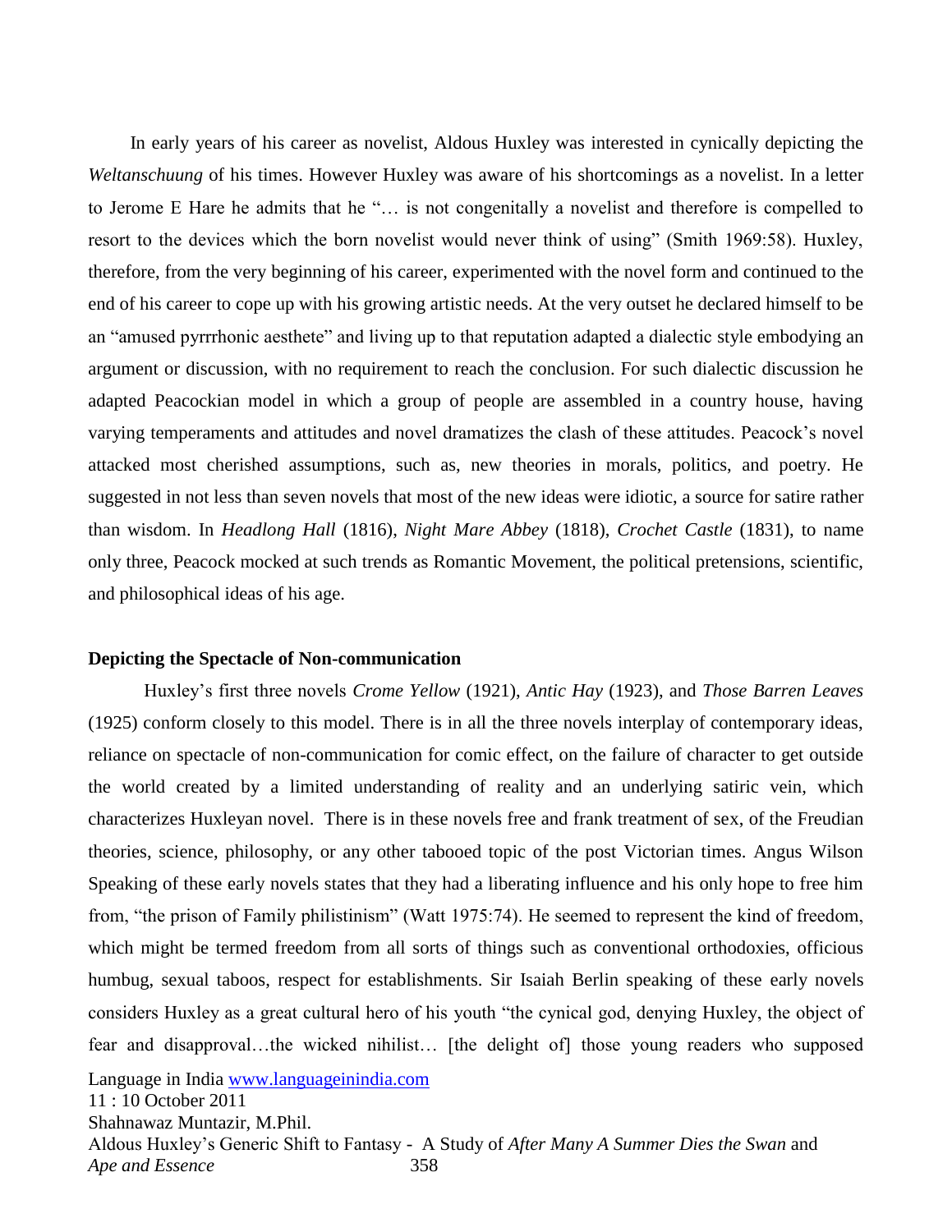In early years of his career as novelist, Aldous Huxley was interested in cynically depicting the *Weltanschuung* of his times. However Huxley was aware of his shortcomings as a novelist. In a letter to Jerome E Hare he admits that he "... is not congenitally a novelist and therefore is compelled to resort to the devices which the born novelist would never think of using" (Smith 1969:58). Huxley, therefore, from the very beginning of his career, experimented with the novel form and continued to the end of his career to cope up with his growing artistic needs. At the very outset he declared himself to be an "amused pyrrrhonic aesthete" and living up to that reputation adapted a dialectic style embodying an argument or discussion, with no requirement to reach the conclusion. For such dialectic discussion he adapted Peacockian model in which a group of people are assembled in a country house, having varying temperaments and attitudes and novel dramatizes the clash of these attitudes. Peacock's novel attacked most cherished assumptions, such as, new theories in morals, politics, and poetry. He suggested in not less than seven novels that most of the new ideas were idiotic, a source for satire rather than wisdom. In *Headlong Hall* (1816), *Night Mare Abbey* (1818), *Crochet Castle* (1831), to name only three, Peacock mocked at such trends as Romantic Movement, the political pretensions, scientific, and philosophical ideas of his age.

#### **Depicting the Spectacle of Non-communication**

Huxley's first three novels *Crome Yellow* (1921), *Antic Hay* (1923), and *Those Barren Leaves* (1925) conform closely to this model. There is in all the three novels interplay of contemporary ideas, reliance on spectacle of non-communication for comic effect, on the failure of character to get outside the world created by a limited understanding of reality and an underlying satiric vein, which characterizes Huxleyan novel. There is in these novels free and frank treatment of sex, of the Freudian theories, science, philosophy, or any other tabooed topic of the post Victorian times. Angus Wilson Speaking of these early novels states that they had a liberating influence and his only hope to free him from, "the prison of Family philistinism" (Watt 1975:74). He seemed to represent the kind of freedom, which might be termed freedom from all sorts of things such as conventional orthodoxies, officious humbug, sexual taboos, respect for establishments. Sir Isaiah Berlin speaking of these early novels considers Huxley as a great cultural hero of his youth "the cynical god, denying Huxley, the object of fear and disapproval…the wicked nihilist… [the delight of] those young readers who supposed

Language in India [www.languageinindia.com](http://www.languageinindia.com/)

11 : 10 October 2011

Shahnawaz Muntazir, M.Phil.

Aldous Huxley's Generic Shift to Fantasy - A Study of *After Many A Summer Dies the Swan* and *Ape and Essence* 358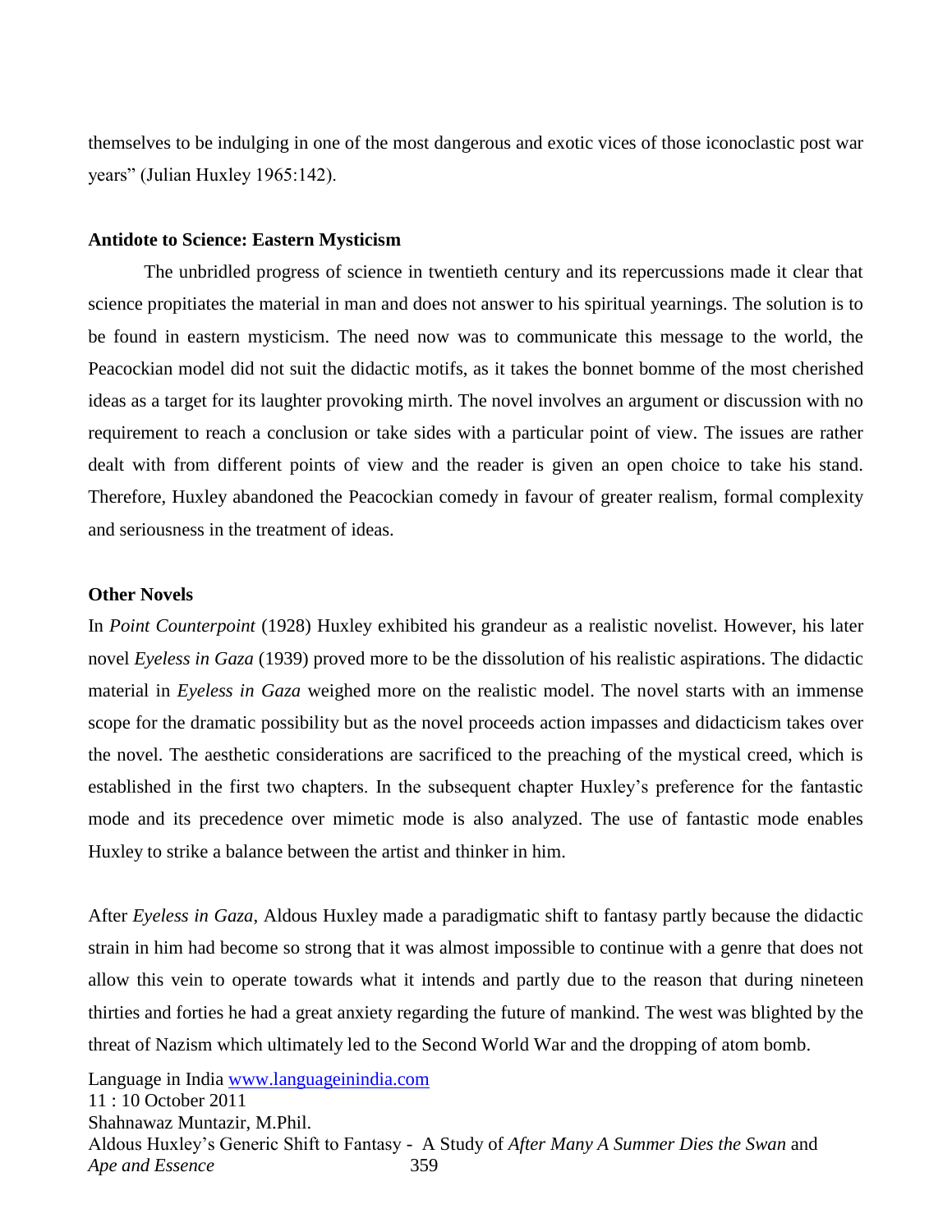themselves to be indulging in one of the most dangerous and exotic vices of those iconoclastic post war years" (Julian Huxley 1965:142).

#### **Antidote to Science: Eastern Mysticism**

The unbridled progress of science in twentieth century and its repercussions made it clear that science propitiates the material in man and does not answer to his spiritual yearnings. The solution is to be found in eastern mysticism. The need now was to communicate this message to the world, the Peacockian model did not suit the didactic motifs, as it takes the bonnet bomme of the most cherished ideas as a target for its laughter provoking mirth. The novel involves an argument or discussion with no requirement to reach a conclusion or take sides with a particular point of view. The issues are rather dealt with from different points of view and the reader is given an open choice to take his stand. Therefore, Huxley abandoned the Peacockian comedy in favour of greater realism, formal complexity and seriousness in the treatment of ideas.

#### **Other Novels**

In *Point Counterpoint* (1928) Huxley exhibited his grandeur as a realistic novelist. However, his later novel *Eyeless in Gaza* (1939) proved more to be the dissolution of his realistic aspirations. The didactic material in *Eyeless in Gaza* weighed more on the realistic model. The novel starts with an immense scope for the dramatic possibility but as the novel proceeds action impasses and didacticism takes over the novel. The aesthetic considerations are sacrificed to the preaching of the mystical creed, which is established in the first two chapters. In the subsequent chapter Huxley's preference for the fantastic mode and its precedence over mimetic mode is also analyzed. The use of fantastic mode enables Huxley to strike a balance between the artist and thinker in him.

After *Eyeless in Gaza*, Aldous Huxley made a paradigmatic shift to fantasy partly because the didactic strain in him had become so strong that it was almost impossible to continue with a genre that does not allow this vein to operate towards what it intends and partly due to the reason that during nineteen thirties and forties he had a great anxiety regarding the future of mankind. The west was blighted by the threat of Nazism which ultimately led to the Second World War and the dropping of atom bomb.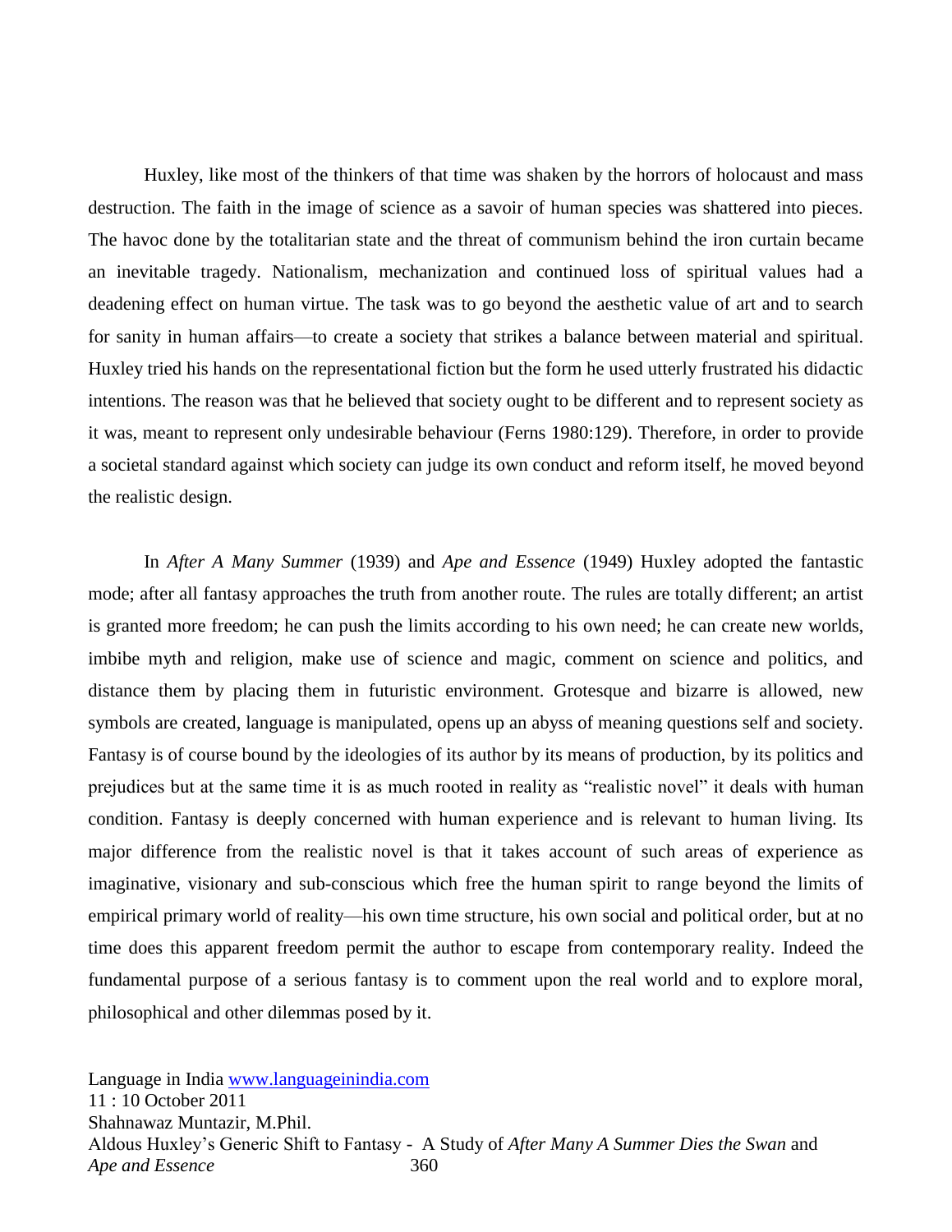Huxley, like most of the thinkers of that time was shaken by the horrors of holocaust and mass destruction. The faith in the image of science as a savoir of human species was shattered into pieces. The havoc done by the totalitarian state and the threat of communism behind the iron curtain became an inevitable tragedy. Nationalism, mechanization and continued loss of spiritual values had a deadening effect on human virtue. The task was to go beyond the aesthetic value of art and to search for sanity in human affairs—to create a society that strikes a balance between material and spiritual. Huxley tried his hands on the representational fiction but the form he used utterly frustrated his didactic intentions. The reason was that he believed that society ought to be different and to represent society as it was, meant to represent only undesirable behaviour (Ferns 1980:129). Therefore, in order to provide a societal standard against which society can judge its own conduct and reform itself, he moved beyond the realistic design.

In *After A Many Summer* (1939) and *Ape and Essence* (1949) Huxley adopted the fantastic mode; after all fantasy approaches the truth from another route. The rules are totally different; an artist is granted more freedom; he can push the limits according to his own need; he can create new worlds, imbibe myth and religion, make use of science and magic, comment on science and politics, and distance them by placing them in futuristic environment. Grotesque and bizarre is allowed, new symbols are created, language is manipulated, opens up an abyss of meaning questions self and society. Fantasy is of course bound by the ideologies of its author by its means of production, by its politics and prejudices but at the same time it is as much rooted in reality as "realistic novel" it deals with human condition. Fantasy is deeply concerned with human experience and is relevant to human living. Its major difference from the realistic novel is that it takes account of such areas of experience as imaginative, visionary and sub-conscious which free the human spirit to range beyond the limits of empirical primary world of reality—his own time structure, his own social and political order, but at no time does this apparent freedom permit the author to escape from contemporary reality. Indeed the fundamental purpose of a serious fantasy is to comment upon the real world and to explore moral, philosophical and other dilemmas posed by it.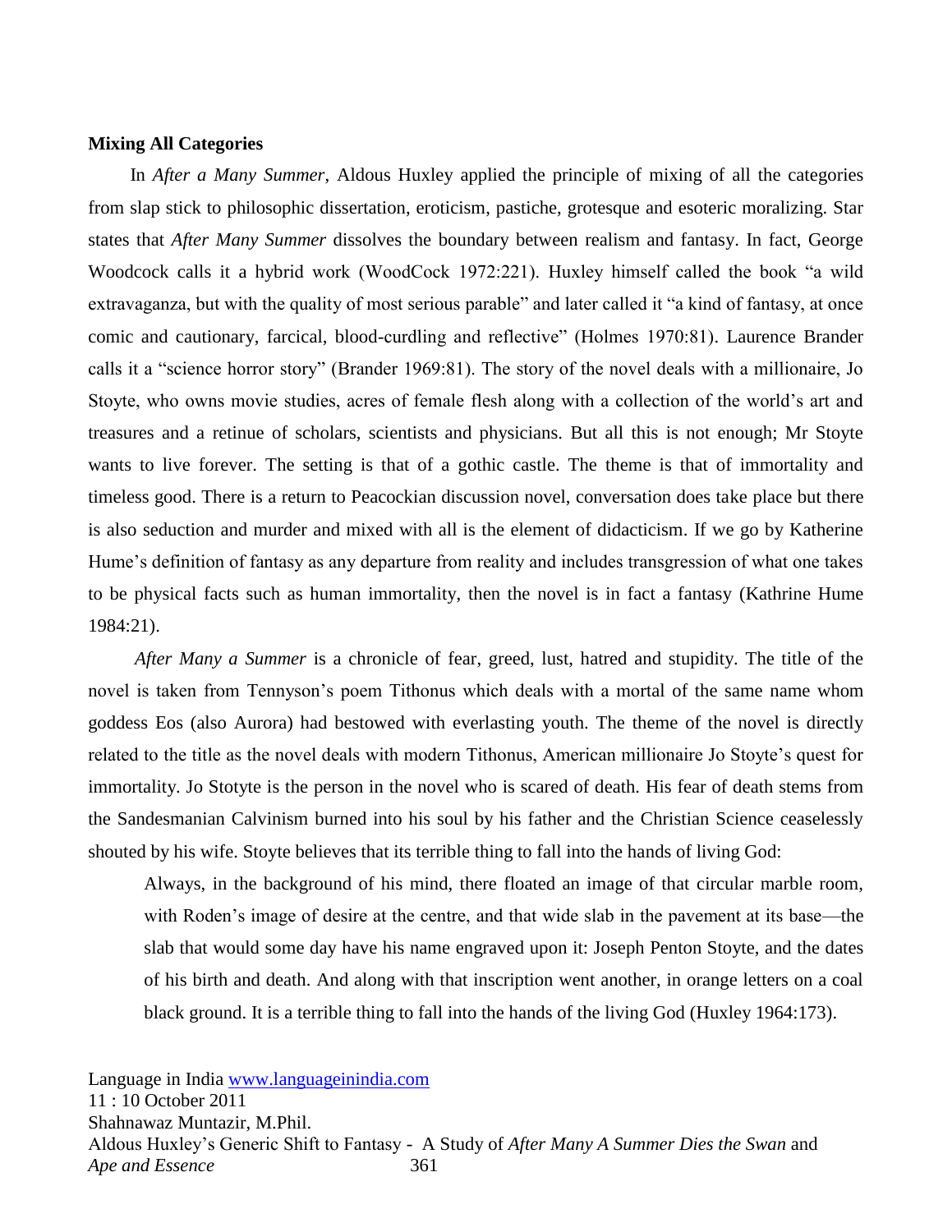#### **Mixing All Categories**

 In *After a Many Summer*, Aldous Huxley applied the principle of mixing of all the categories from slap stick to philosophic dissertation, eroticism, pastiche, grotesque and esoteric moralizing. Star states that *After Many Summer* dissolves the boundary between realism and fantasy. In fact, George Woodcock calls it a hybrid work (WoodCock 1972:221). Huxley himself called the book "a wild extravaganza, but with the quality of most serious parable" and later called it "a kind of fantasy, at once comic and cautionary, farcical, blood-curdling and reflective" (Holmes 1970:81). Laurence Brander calls it a "science horror story" (Brander 1969:81). The story of the novel deals with a millionaire, Jo Stoyte, who owns movie studies, acres of female flesh along with a collection of the world's art and treasures and a retinue of scholars, scientists and physicians. But all this is not enough; Mr Stoyte wants to live forever. The setting is that of a gothic castle. The theme is that of immortality and timeless good. There is a return to Peacockian discussion novel, conversation does take place but there is also seduction and murder and mixed with all is the element of didacticism. If we go by Katherine Hume's definition of fantasy as any departure from reality and includes transgression of what one takes to be physical facts such as human immortality, then the novel is in fact a fantasy (Kathrine Hume 1984:21).

 *After Many a Summer* is a chronicle of fear, greed, lust, hatred and stupidity. The title of the novel is taken from Tennyson's poem Tithonus which deals with a mortal of the same name whom goddess Eos (also Aurora) had bestowed with everlasting youth. The theme of the novel is directly related to the title as the novel deals with modern Tithonus, American millionaire Jo Stoyte's quest for immortality. Jo Stotyte is the person in the novel who is scared of death. His fear of death stems from the Sandesmanian Calvinism burned into his soul by his father and the Christian Science ceaselessly shouted by his wife. Stoyte believes that its terrible thing to fall into the hands of living God:

Always, in the background of his mind, there floated an image of that circular marble room, with Roden's image of desire at the centre, and that wide slab in the pavement at its base—the slab that would some day have his name engraved upon it: Joseph Penton Stoyte, and the dates of his birth and death. And along with that inscription went another, in orange letters on a coal black ground. It is a terrible thing to fall into the hands of the living God (Huxley 1964:173).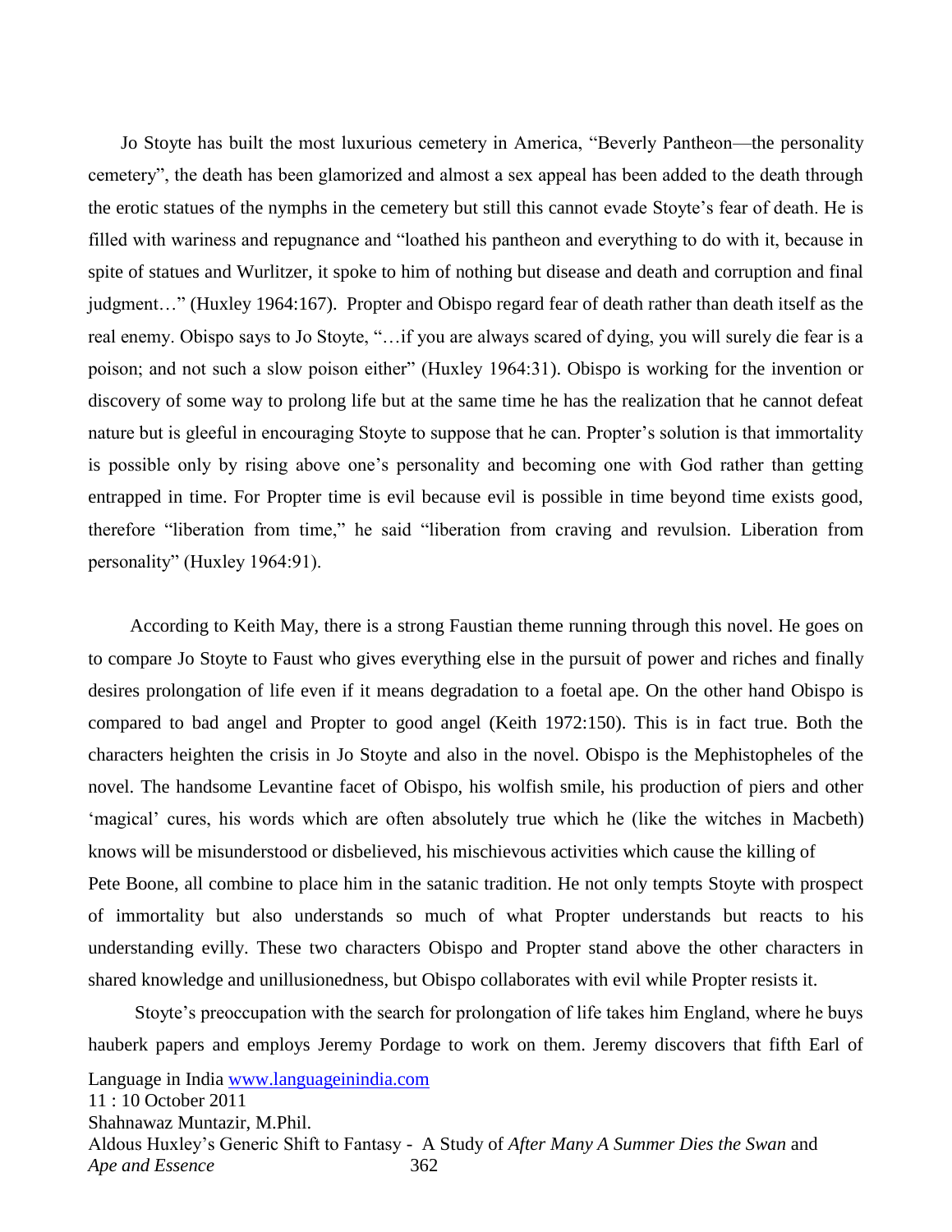Jo Stoyte has built the most luxurious cemetery in America, "Beverly Pantheon—the personality cemetery", the death has been glamorized and almost a sex appeal has been added to the death through the erotic statues of the nymphs in the cemetery but still this cannot evade Stoyte's fear of death. He is filled with wariness and repugnance and "loathed his pantheon and everything to do with it, because in spite of statues and Wurlitzer, it spoke to him of nothing but disease and death and corruption and final judgment..." (Huxley 1964:167). Propter and Obispo regard fear of death rather than death itself as the real enemy. Obispo says to Jo Stoyte, "...if you are always scared of dying, you will surely die fear is a poison; and not such a slow poison either" (Huxley 1964:31). Obispo is working for the invention or discovery of some way to prolong life but at the same time he has the realization that he cannot defeat nature but is gleeful in encouraging Stoyte to suppose that he can. Propter's solution is that immortality is possible only by rising above one's personality and becoming one with God rather than getting entrapped in time. For Propter time is evil because evil is possible in time beyond time exists good, therefore "liberation from time," he said "liberation from craving and revulsion. Liberation from personality" (Huxley 1964:91).

 According to Keith May, there is a strong Faustian theme running through this novel. He goes on to compare Jo Stoyte to Faust who gives everything else in the pursuit of power and riches and finally desires prolongation of life even if it means degradation to a foetal ape. On the other hand Obispo is compared to bad angel and Propter to good angel (Keith 1972:150). This is in fact true. Both the characters heighten the crisis in Jo Stoyte and also in the novel. Obispo is the Mephistopheles of the novel. The handsome Levantine facet of Obispo, his wolfish smile, his production of piers and other ‗magical' cures, his words which are often absolutely true which he (like the witches in Macbeth) knows will be misunderstood or disbelieved, his mischievous activities which cause the killing of Pete Boone, all combine to place him in the satanic tradition. He not only tempts Stoyte with prospect of immortality but also understands so much of what Propter understands but reacts to his understanding evilly. These two characters Obispo and Propter stand above the other characters in shared knowledge and unillusionedness, but Obispo collaborates with evil while Propter resists it.

Language in India [www.languageinindia.com](http://www.languageinindia.com/) 11 : 10 October 2011 Shahnawaz Muntazir, M.Phil. Aldous Huxley's Generic Shift to Fantasy - A Study of *After Many A Summer Dies the Swan* and *Ape and Essence* 362 Stoyte's preoccupation with the search for prolongation of life takes him England, where he buys hauberk papers and employs Jeremy Pordage to work on them. Jeremy discovers that fifth Earl of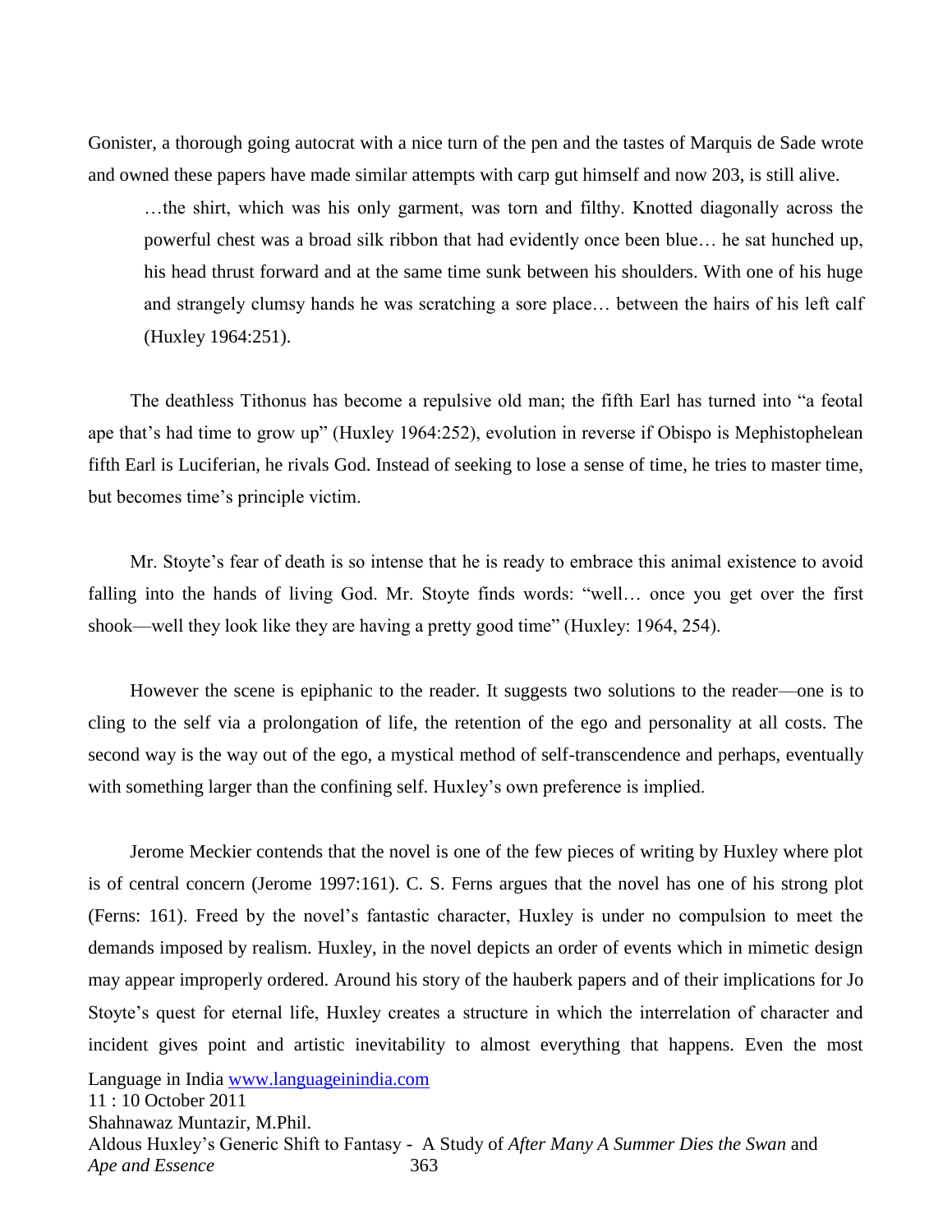Gonister, a thorough going autocrat with a nice turn of the pen and the tastes of Marquis de Sade wrote and owned these papers have made similar attempts with carp gut himself and now 203, is still alive.

…the shirt, which was his only garment, was torn and filthy. Knotted diagonally across the powerful chest was a broad silk ribbon that had evidently once been blue… he sat hunched up, his head thrust forward and at the same time sunk between his shoulders. With one of his huge and strangely clumsy hands he was scratching a sore place… between the hairs of his left calf (Huxley 1964:251).

The deathless Tithonus has become a repulsive old man; the fifth Earl has turned into "a feotal ape that's had time to grow up" (Huxley 1964:252), evolution in reverse if Obispo is Mephistophelean fifth Earl is Luciferian, he rivals God. Instead of seeking to lose a sense of time, he tries to master time, but becomes time's principle victim.

 Mr. Stoyte's fear of death is so intense that he is ready to embrace this animal existence to avoid falling into the hands of living God. Mr. Stoyte finds words: "well... once you get over the first shook—well they look like they are having a pretty good time" (Huxley: 1964, 254).

 However the scene is epiphanic to the reader. It suggests two solutions to the reader—one is to cling to the self via a prolongation of life, the retention of the ego and personality at all costs. The second way is the way out of the ego, a mystical method of self-transcendence and perhaps, eventually with something larger than the confining self. Huxley's own preference is implied.

Language in India [www.languageinindia.com](http://www.languageinindia.com/) 11 : 10 October 2011 Jerome Meckier contends that the novel is one of the few pieces of writing by Huxley where plot is of central concern (Jerome 1997:161). C. S. Ferns argues that the novel has one of his strong plot (Ferns: 161). Freed by the novel's fantastic character, Huxley is under no compulsion to meet the demands imposed by realism. Huxley, in the novel depicts an order of events which in mimetic design may appear improperly ordered. Around his story of the hauberk papers and of their implications for Jo Stoyte's quest for eternal life, Huxley creates a structure in which the interrelation of character and incident gives point and artistic inevitability to almost everything that happens. Even the most

Shahnawaz Muntazir, M.Phil. Aldous Huxley's Generic Shift to Fantasy - A Study of *After Many A Summer Dies the Swan* and *Ape and Essence* 363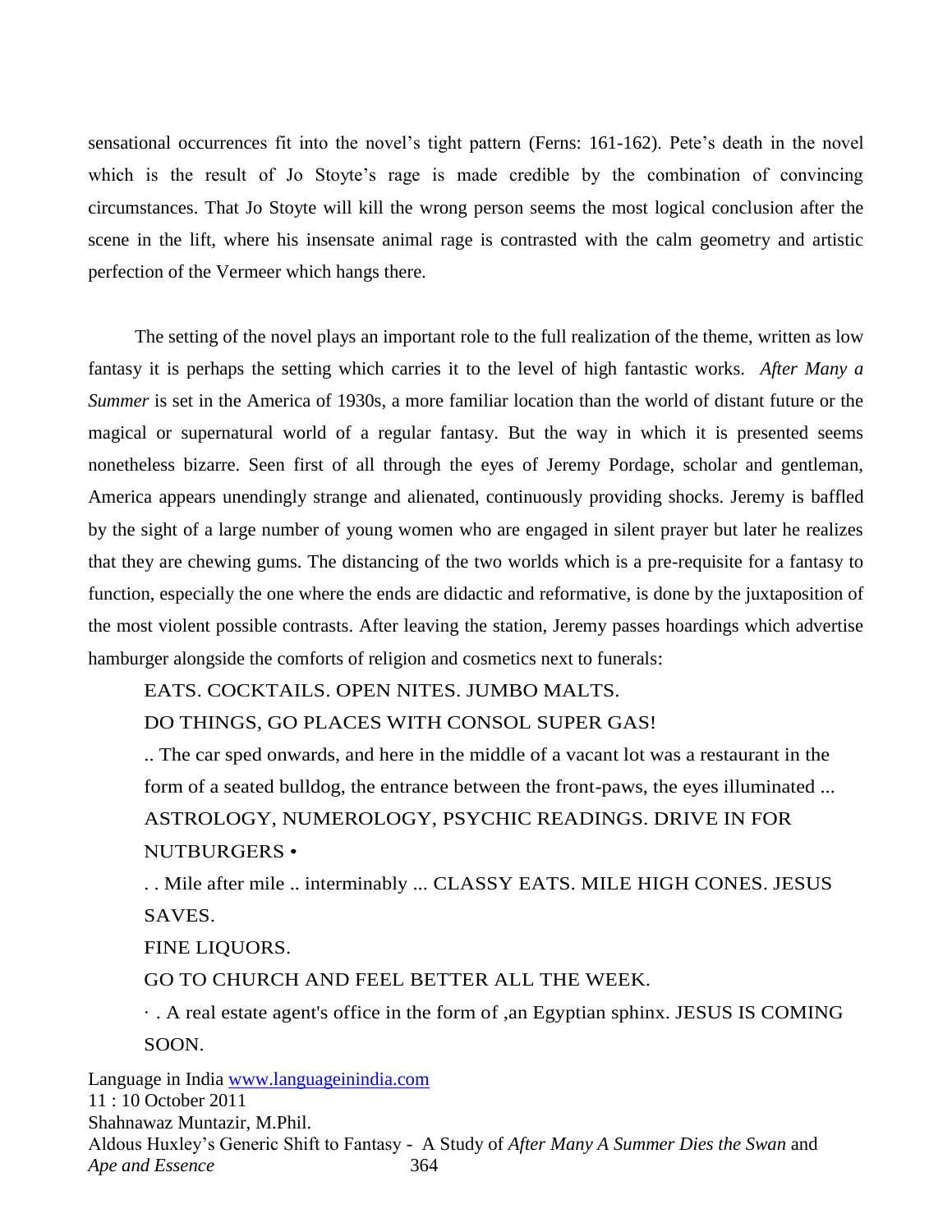sensational occurrences fit into the novel's tight pattern (Ferns: 161-162). Pete's death in the novel which is the result of Jo Stoyte's rage is made credible by the combination of convincing circumstances. That Jo Stoyte will kill the wrong person seems the most logical conclusion after the scene in the lift, where his insensate animal rage is contrasted with the calm geometry and artistic perfection of the Vermeer which hangs there.

 The setting of the novel plays an important role to the full realization of the theme, written as low fantasy it is perhaps the setting which carries it to the level of high fantastic works. *After Many a Summer* is set in the America of 1930s, a more familiar location than the world of distant future or the magical or supernatural world of a regular fantasy. But the way in which it is presented seems nonetheless bizarre. Seen first of all through the eyes of Jeremy Pordage, scholar and gentleman, America appears unendingly strange and alienated, continuously providing shocks. Jeremy is baffled by the sight of a large number of young women who are engaged in silent prayer but later he realizes that they are chewing gums. The distancing of the two worlds which is a pre-requisite for a fantasy to function, especially the one where the ends are didactic and reformative, is done by the juxtaposition of the most violent possible contrasts. After leaving the station, Jeremy passes hoardings which advertise hamburger alongside the comforts of religion and cosmetics next to funerals:

EATS. COCKTAILS. OPEN NITES. JUMBO MALTS.

DO THINGS, GO PLACES WITH CONSOL SUPER GAS!

.. The car sped onwards, and here in the middle of a vacant lot was a restaurant in the form of a seated bulldog, the entrance between the front-paws, the eyes illuminated ... ASTROLOGY, NUMEROLOGY, PSYCHIC READINGS. DRIVE IN FOR NUTBURGERS •

. . Mile after mile .. interminably ... CLASSY EATS. MILE HIGH CONES. JESUS SAVES.

FINE LIQUORS.

GO TO CHURCH AND FEEL BETTER ALL THE WEEK.

· . A real estate agent's office in the form of ,an Egyptian sphinx. JESUS IS COMING SOON.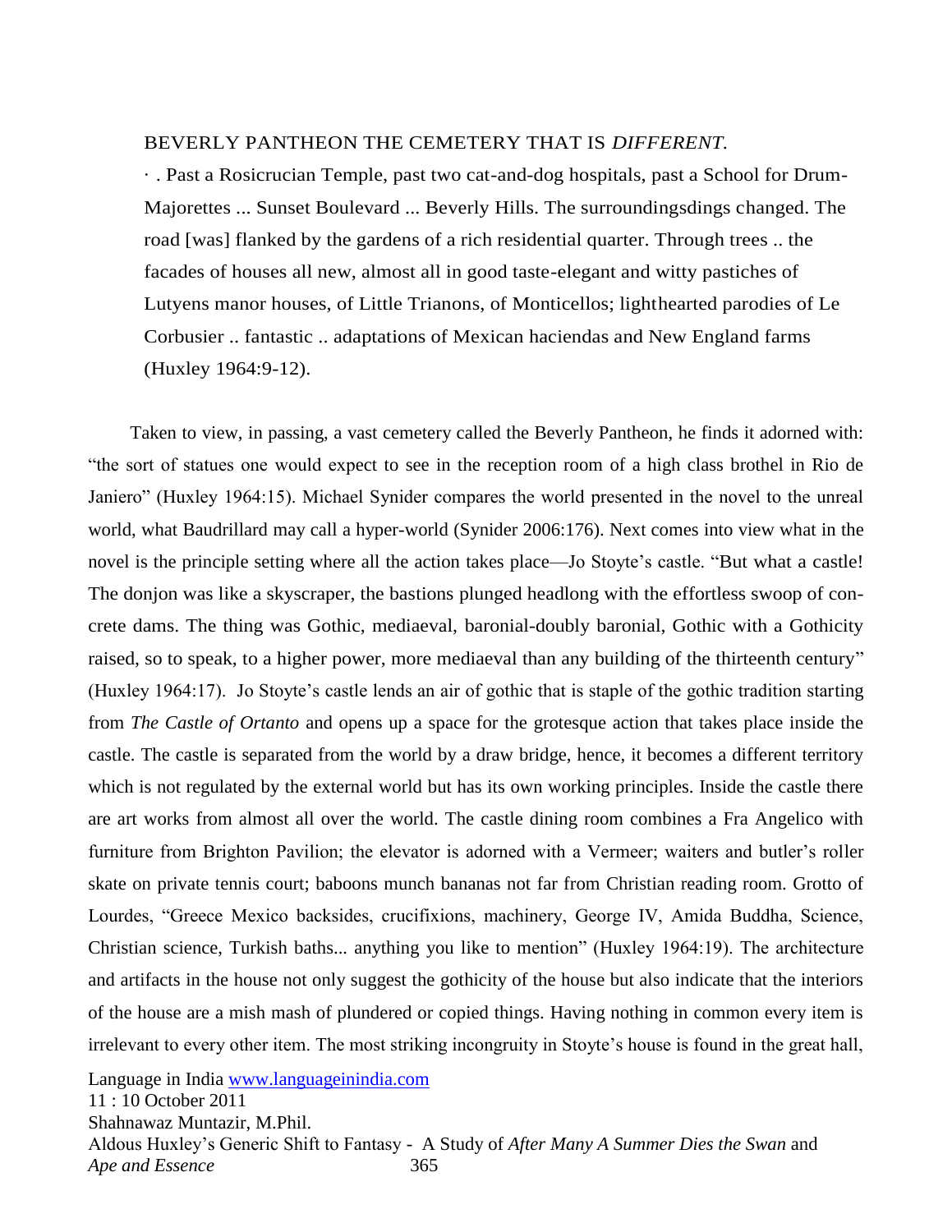#### BEVERLY PANTHEON THE CEMETERY THAT IS *DIFFERENT.*

· . Past a Rosicrucian Temple, past two cat-and-dog hospitals, past a School for Drum-Majorettes ... Sunset Boulevard ... Beverly Hills. The surroundingsdings changed. The road [was] flanked by the gardens of a rich residential quarter. Through trees .. the facades of houses all new, almost all in good taste-elegant and witty pastiches of Lutyens manor houses, of Little Trianons, of Monticellos; lighthearted parodies of Le Corbusier .. fantastic .. adaptations of Mexican haciendas and New England farms (Huxley 1964:9-12).

 Taken to view, in passing, a vast cemetery called the Beverly Pantheon, he finds it adorned with: ―the sort of statues one would expect to see in the reception room of a high class brothel in Rio de Janiero" (Huxley 1964:15). Michael Synider compares the world presented in the novel to the unreal world, what Baudrillard may call a hyper-world (Synider 2006:176). Next comes into view what in the novel is the principle setting where all the action takes place—Jo Stoyte's castle. "But what a castle!" The donjon was like a skyscraper, the bastions plunged headlong with the effortless swoop of concrete dams. The thing was Gothic, mediaeval, baronial-doubly baronial, Gothic with a Gothicity raised, so to speak, to a higher power, more mediaeval than any building of the thirteenth century" (Huxley 1964:17). Jo Stoyte's castle lends an air of gothic that is staple of the gothic tradition starting from *The Castle of Ortanto* and opens up a space for the grotesque action that takes place inside the castle. The castle is separated from the world by a draw bridge, hence, it becomes a different territory which is not regulated by the external world but has its own working principles. Inside the castle there are art works from almost all over the world. The castle dining room combines a Fra Angelico with furniture from Brighton Pavilion; the elevator is adorned with a Vermeer; waiters and butler's roller skate on private tennis court; baboons munch bananas not far from Christian reading room. Grotto of Lourdes, "Greece Mexico backsides, crucifixions, machinery, George IV, Amida Buddha, Science, Christian science, Turkish baths... anything you like to mention" (Huxley 1964:19). The architecture and artifacts in the house not only suggest the gothicity of the house but also indicate that the interiors of the house are a mish mash of plundered or copied things. Having nothing in common every item is irrelevant to every other item. The most striking incongruity in Stoyte's house is found in the great hall,

Language in India [www.languageinindia.com](http://www.languageinindia.com/)

11 : 10 October 2011

Shahnawaz Muntazir, M.Phil.

Aldous Huxley's Generic Shift to Fantasy - A Study of *After Many A Summer Dies the Swan* and *Ape and Essence* 365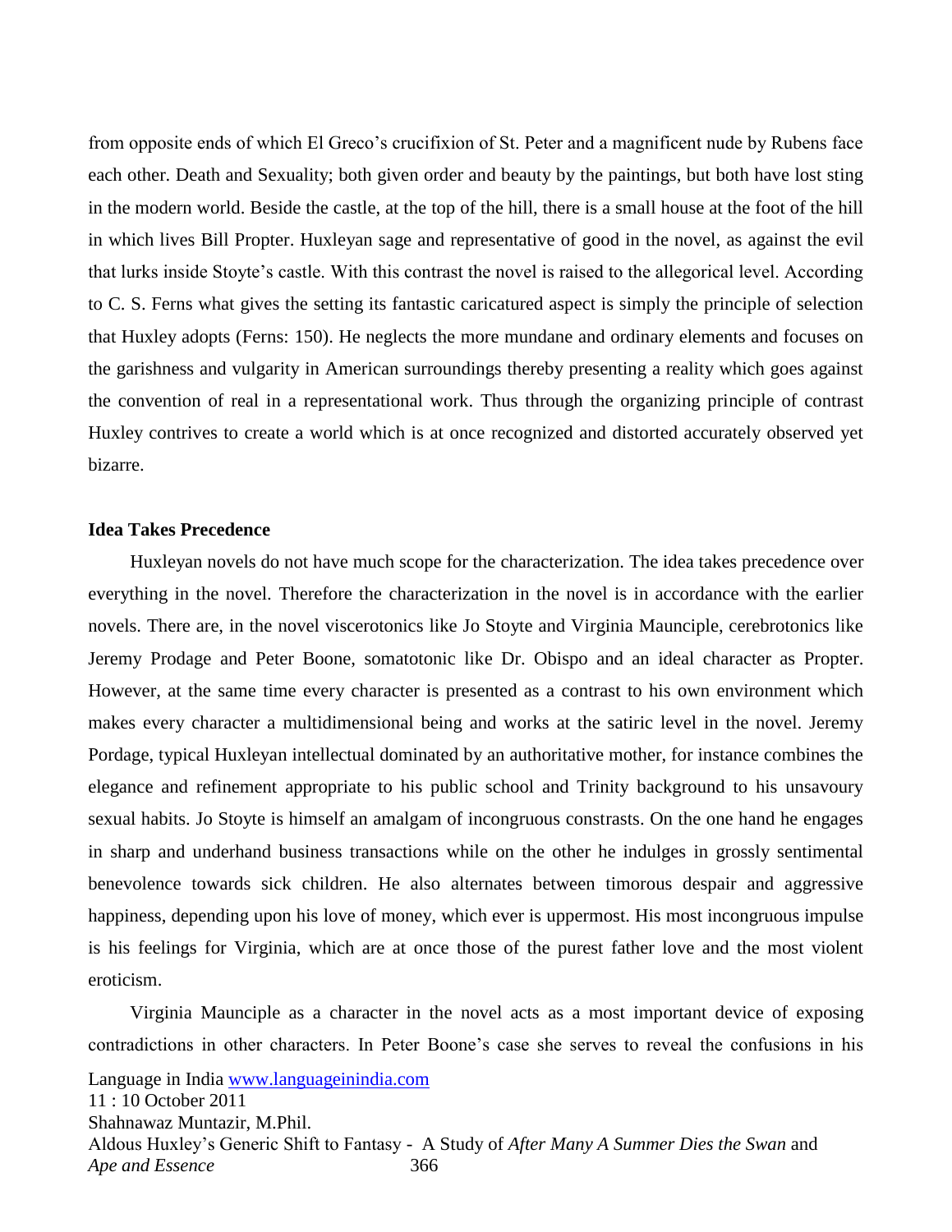from opposite ends of which El Greco's crucifixion of St. Peter and a magnificent nude by Rubens face each other. Death and Sexuality; both given order and beauty by the paintings, but both have lost sting in the modern world. Beside the castle, at the top of the hill, there is a small house at the foot of the hill in which lives Bill Propter. Huxleyan sage and representative of good in the novel, as against the evil that lurks inside Stoyte's castle. With this contrast the novel is raised to the allegorical level. According to C. S. Ferns what gives the setting its fantastic caricatured aspect is simply the principle of selection that Huxley adopts (Ferns: 150). He neglects the more mundane and ordinary elements and focuses on the garishness and vulgarity in American surroundings thereby presenting a reality which goes against the convention of real in a representational work. Thus through the organizing principle of contrast Huxley contrives to create a world which is at once recognized and distorted accurately observed yet bizarre.

#### **Idea Takes Precedence**

 Huxleyan novels do not have much scope for the characterization. The idea takes precedence over everything in the novel. Therefore the characterization in the novel is in accordance with the earlier novels. There are, in the novel viscerotonics like Jo Stoyte and Virginia Maunciple, cerebrotonics like Jeremy Prodage and Peter Boone, somatotonic like Dr. Obispo and an ideal character as Propter. However, at the same time every character is presented as a contrast to his own environment which makes every character a multidimensional being and works at the satiric level in the novel. Jeremy Pordage, typical Huxleyan intellectual dominated by an authoritative mother, for instance combines the elegance and refinement appropriate to his public school and Trinity background to his unsavoury sexual habits. Jo Stoyte is himself an amalgam of incongruous constrasts. On the one hand he engages in sharp and underhand business transactions while on the other he indulges in grossly sentimental benevolence towards sick children. He also alternates between timorous despair and aggressive happiness, depending upon his love of money, which ever is uppermost. His most incongruous impulse is his feelings for Virginia, which are at once those of the purest father love and the most violent eroticism.

Language in India [www.languageinindia.com](http://www.languageinindia.com/) 11 : 10 October 2011 Shahnawaz Muntazir, M.Phil. Aldous Huxley's Generic Shift to Fantasy - A Study of *After Many A Summer Dies the Swan* and *Ape and Essence* 366 Virginia Maunciple as a character in the novel acts as a most important device of exposing contradictions in other characters. In Peter Boone's case she serves to reveal the confusions in his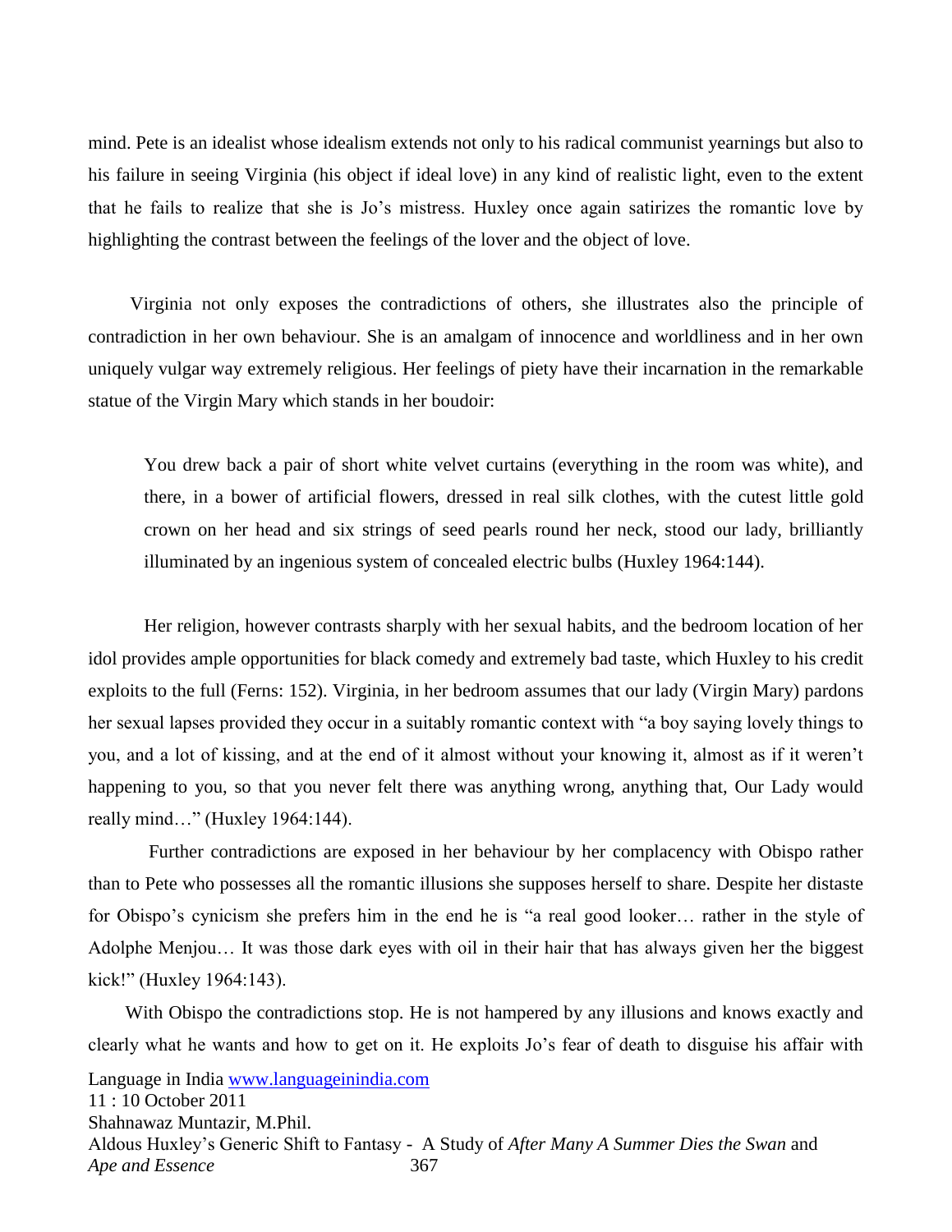mind. Pete is an idealist whose idealism extends not only to his radical communist yearnings but also to his failure in seeing Virginia (his object if ideal love) in any kind of realistic light, even to the extent that he fails to realize that she is Jo's mistress. Huxley once again satirizes the romantic love by highlighting the contrast between the feelings of the lover and the object of love.

 Virginia not only exposes the contradictions of others, she illustrates also the principle of contradiction in her own behaviour. She is an amalgam of innocence and worldliness and in her own uniquely vulgar way extremely religious. Her feelings of piety have their incarnation in the remarkable statue of the Virgin Mary which stands in her boudoir:

You drew back a pair of short white velvet curtains (everything in the room was white), and there, in a bower of artificial flowers, dressed in real silk clothes, with the cutest little gold crown on her head and six strings of seed pearls round her neck, stood our lady, brilliantly illuminated by an ingenious system of concealed electric bulbs (Huxley 1964:144).

Her religion, however contrasts sharply with her sexual habits, and the bedroom location of her idol provides ample opportunities for black comedy and extremely bad taste, which Huxley to his credit exploits to the full (Ferns: 152). Virginia, in her bedroom assumes that our lady (Virgin Mary) pardons her sexual lapses provided they occur in a suitably romantic context with "a boy saying lovely things to you, and a lot of kissing, and at the end of it almost without your knowing it, almost as if it weren't happening to you, so that you never felt there was anything wrong, anything that, Our Lady would really mind..." (Huxley 1964:144).

Further contradictions are exposed in her behaviour by her complacency with Obispo rather than to Pete who possesses all the romantic illusions she supposes herself to share. Despite her distaste for Obispo's cynicism she prefers him in the end he is "a real good looker... rather in the style of Adolphe Menjou… It was those dark eyes with oil in their hair that has always given her the biggest kick!" (Huxley 1964:143).

Language in India [www.languageinindia.com](http://www.languageinindia.com/) 11 : 10 October 2011 Shahnawaz Muntazir, M.Phil. Aldous Huxley's Generic Shift to Fantasy - A Study of *After Many A Summer Dies the Swan* and *Ape and Essence* 367 With Obispo the contradictions stop. He is not hampered by any illusions and knows exactly and clearly what he wants and how to get on it. He exploits Jo's fear of death to disguise his affair with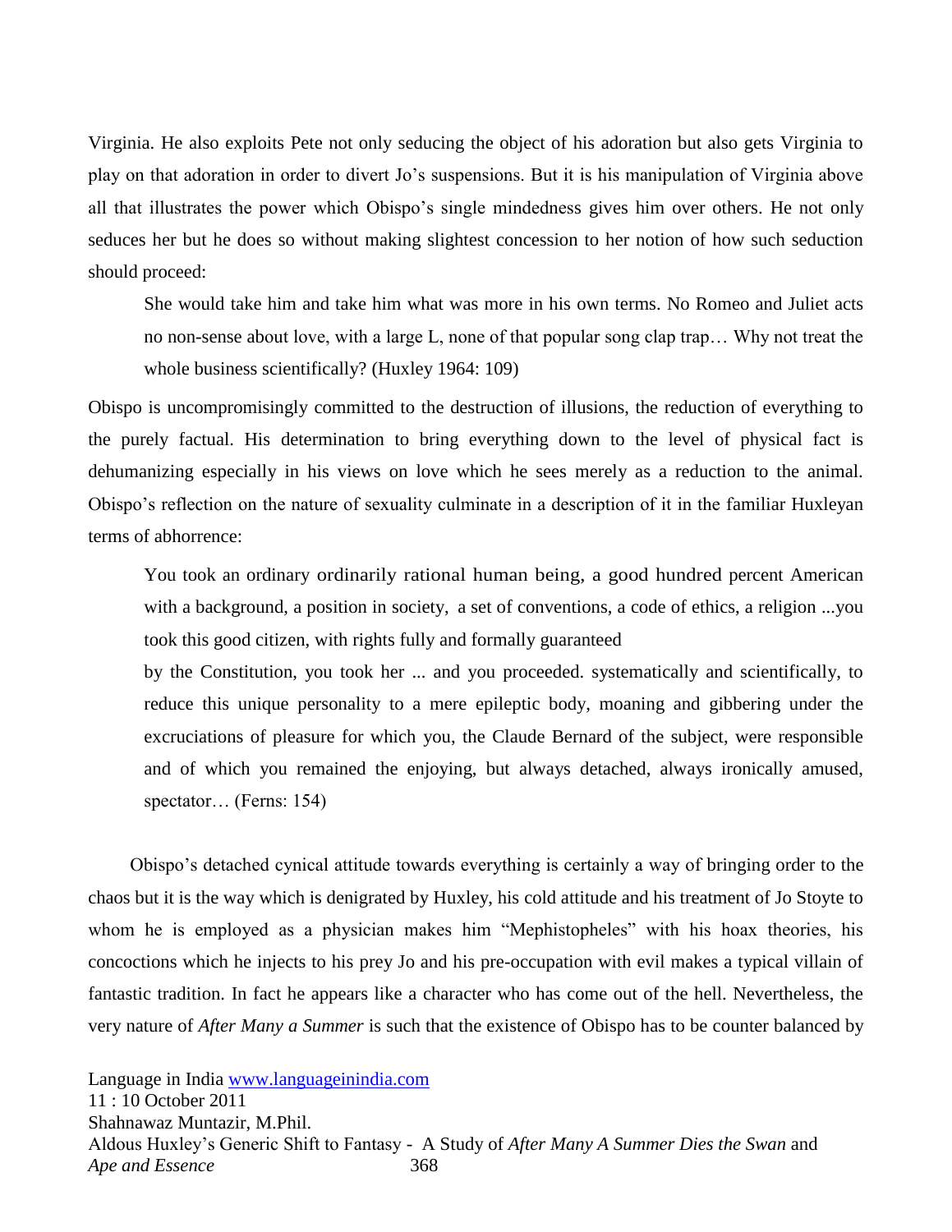Virginia. He also exploits Pete not only seducing the object of his adoration but also gets Virginia to play on that adoration in order to divert Jo's suspensions. But it is his manipulation of Virginia above all that illustrates the power which Obispo's single mindedness gives him over others. He not only seduces her but he does so without making slightest concession to her notion of how such seduction should proceed:

She would take him and take him what was more in his own terms. No Romeo and Juliet acts no non-sense about love, with a large L, none of that popular song clap trap… Why not treat the whole business scientifically? (Huxley 1964: 109)

Obispo is uncompromisingly committed to the destruction of illusions, the reduction of everything to the purely factual. His determination to bring everything down to the level of physical fact is dehumanizing especially in his views on love which he sees merely as a reduction to the animal. Obispo's reflection on the nature of sexuality culminate in a description of it in the familiar Huxleyan terms of abhorrence:

You took an ordinary ordinarily rational human being, a good hundred percent American with a background, a position in society, a set of conventions, a code of ethics, a religion ...you took this good citizen, with rights fully and formally guaranteed

by the Constitution, you took her ... and you proceeded. systematically and scientifically, to reduce this unique personality to a mere epileptic body, moaning and gibbering under the excruciations of pleasure for which you, the Claude Bernard of the subject, were responsible and of which you remained the enjoying, but always detached, always ironically amused, spectator… (Ferns: 154)

 Obispo's detached cynical attitude towards everything is certainly a way of bringing order to the chaos but it is the way which is denigrated by Huxley, his cold attitude and his treatment of Jo Stoyte to whom he is employed as a physician makes him "Mephistopheles" with his hoax theories, his concoctions which he injects to his prey Jo and his pre-occupation with evil makes a typical villain of fantastic tradition. In fact he appears like a character who has come out of the hell. Nevertheless, the very nature of *After Many a Summer* is such that the existence of Obispo has to be counter balanced by

Language in India [www.languageinindia.com](http://www.languageinindia.com/)

11 : 10 October 2011 Shahnawaz Muntazir, M.Phil. Aldous Huxley's Generic Shift to Fantasy - A Study of *After Many A Summer Dies the Swan* and *Ape and Essence* 368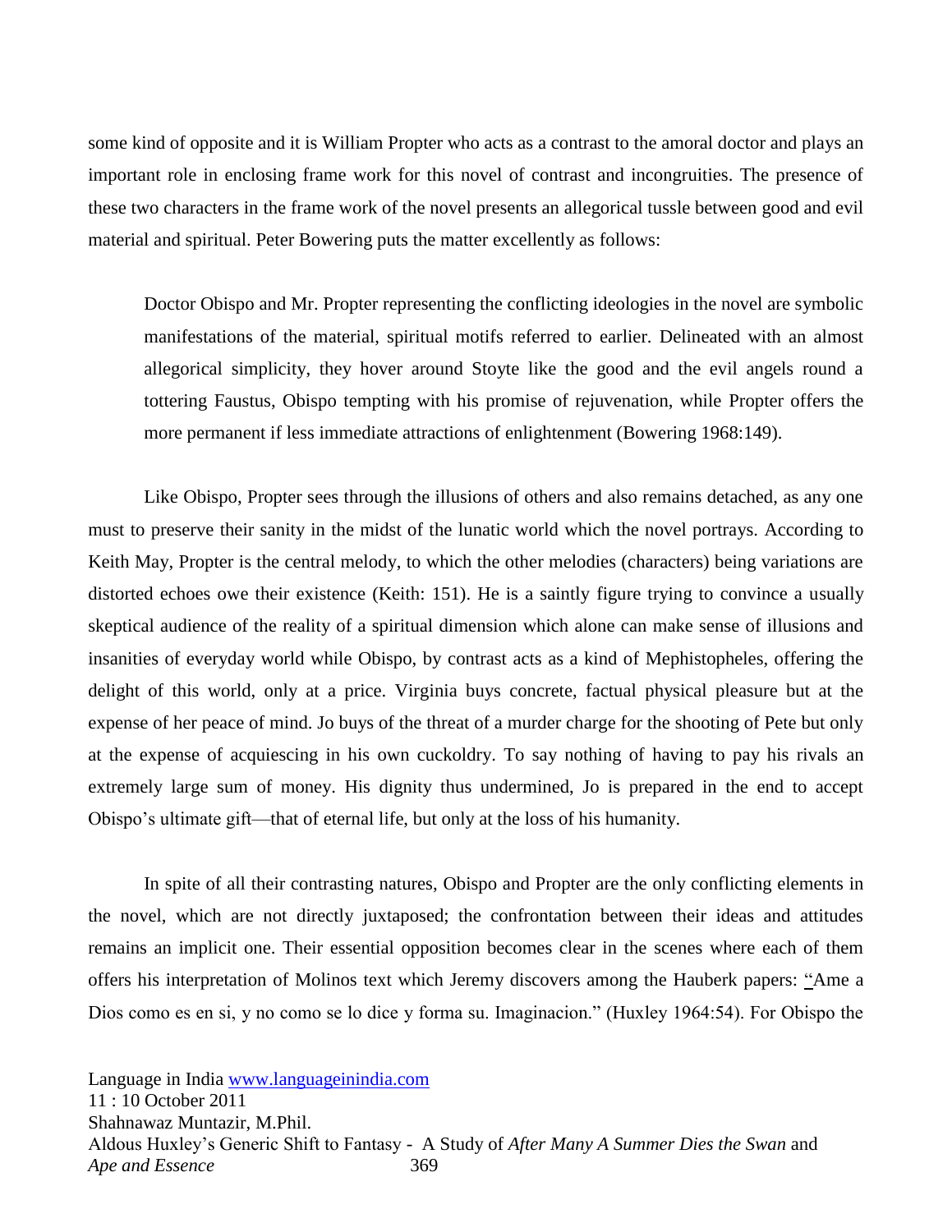some kind of opposite and it is William Propter who acts as a contrast to the amoral doctor and plays an important role in enclosing frame work for this novel of contrast and incongruities. The presence of these two characters in the frame work of the novel presents an allegorical tussle between good and evil material and spiritual. Peter Bowering puts the matter excellently as follows:

Doctor Obispo and Mr. Propter representing the conflicting ideologies in the novel are symbolic manifestations of the material, spiritual motifs referred to earlier. Delineated with an almost allegorical simplicity, they hover around Stoyte like the good and the evil angels round a tottering Faustus, Obispo tempting with his promise of rejuvenation, while Propter offers the more permanent if less immediate attractions of enlightenment (Bowering 1968:149).

Like Obispo, Propter sees through the illusions of others and also remains detached, as any one must to preserve their sanity in the midst of the lunatic world which the novel portrays. According to Keith May, Propter is the central melody, to which the other melodies (characters) being variations are distorted echoes owe their existence (Keith: 151). He is a saintly figure trying to convince a usually skeptical audience of the reality of a spiritual dimension which alone can make sense of illusions and insanities of everyday world while Obispo, by contrast acts as a kind of Mephistopheles, offering the delight of this world, only at a price. Virginia buys concrete, factual physical pleasure but at the expense of her peace of mind. Jo buys of the threat of a murder charge for the shooting of Pete but only at the expense of acquiescing in his own cuckoldry. To say nothing of having to pay his rivals an extremely large sum of money. His dignity thus undermined, Jo is prepared in the end to accept Obispo's ultimate gift—that of eternal life, but only at the loss of his humanity.

In spite of all their contrasting natures, Obispo and Propter are the only conflicting elements in the novel, which are not directly juxtaposed; the confrontation between their ideas and attitudes remains an implicit one. Their essential opposition becomes clear in the scenes where each of them offers his interpretation of Molinos text which Jeremy discovers among the Hauberk papers: "Ame a Dios como es en si, y no como se lo dice y forma su. Imaginacion." (Huxley 1964:54). For Obispo the

Language in India [www.languageinindia.com](http://www.languageinindia.com/)

11 : 10 October 2011 Shahnawaz Muntazir, M.Phil. Aldous Huxley's Generic Shift to Fantasy - A Study of *After Many A Summer Dies the Swan* and *Ape and Essence* 369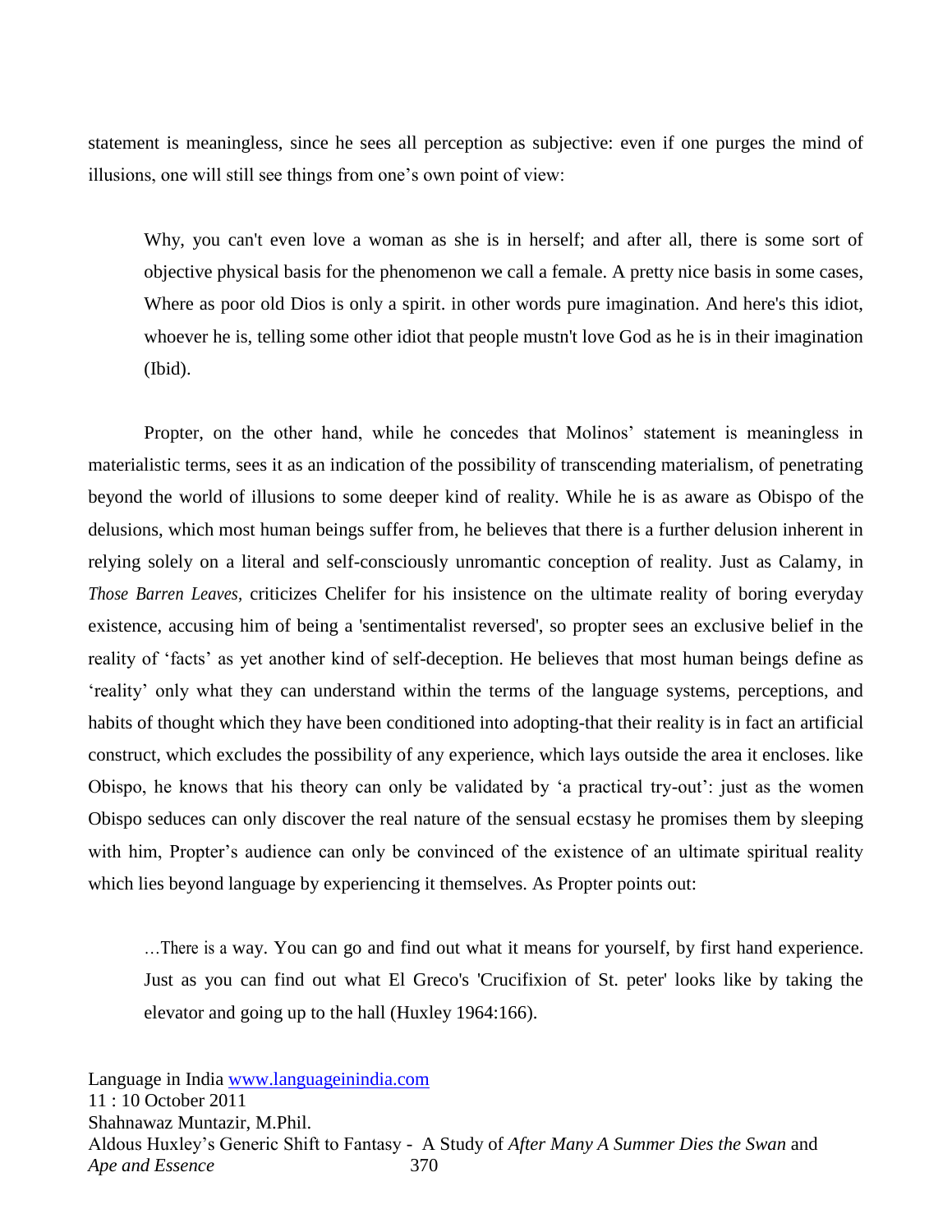statement is meaningless, since he sees all perception as subjective: even if one purges the mind of illusions, one will still see things from one's own point of view:

Why, you can't even love a woman as she is in herself; and after all, there is some sort of objective physical basis for the phenomenon we call a female. A pretty nice basis in some cases, Where as poor old Dios is only a spirit. in other words pure imagination. And here's this idiot, whoever he is, telling some other idiot that people mustn't love God as he is in their imagination (Ibid).

Propter, on the other hand, while he concedes that Molinos' statement is meaningless in materialistic terms, sees it as an indication of the possibility of transcending materialism, of penetrating beyond the world of illusions to some deeper kind of reality. While he is as aware as Obispo of the delusions, which most human beings suffer from, he believes that there is a further delusion inherent in relying solely on a literal and self-consciously unromantic conception of reality. Just as Calamy, in *Those Barren Leaves,* criticizes Chelifer for his insistence on the ultimate reality of boring everyday existence, accusing him of being a 'sentimentalist reversed', so propter sees an exclusive belief in the reality of 'facts' as yet another kind of self-deception. He believes that most human beings define as ‗reality' only what they can understand within the terms of the language systems, perceptions, and habits of thought which they have been conditioned into adopting-that their reality is in fact an artificial construct, which excludes the possibility of any experience, which lays outside the area it encloses. like Obispo, he knows that his theory can only be validated by ‗a practical try-out': just as the women Obispo seduces can only discover the real nature of the sensual ecstasy he promises them by sleeping with him, Propter's audience can only be convinced of the existence of an ultimate spiritual reality which lies beyond language by experiencing it themselves. As Propter points out:

…There is a way. You can go and find out what it means for yourself, by first hand experience. Just as you can find out what El Greco's 'Crucifixion of St. peter' looks like by taking the elevator and going up to the hall (Huxley 1964:166).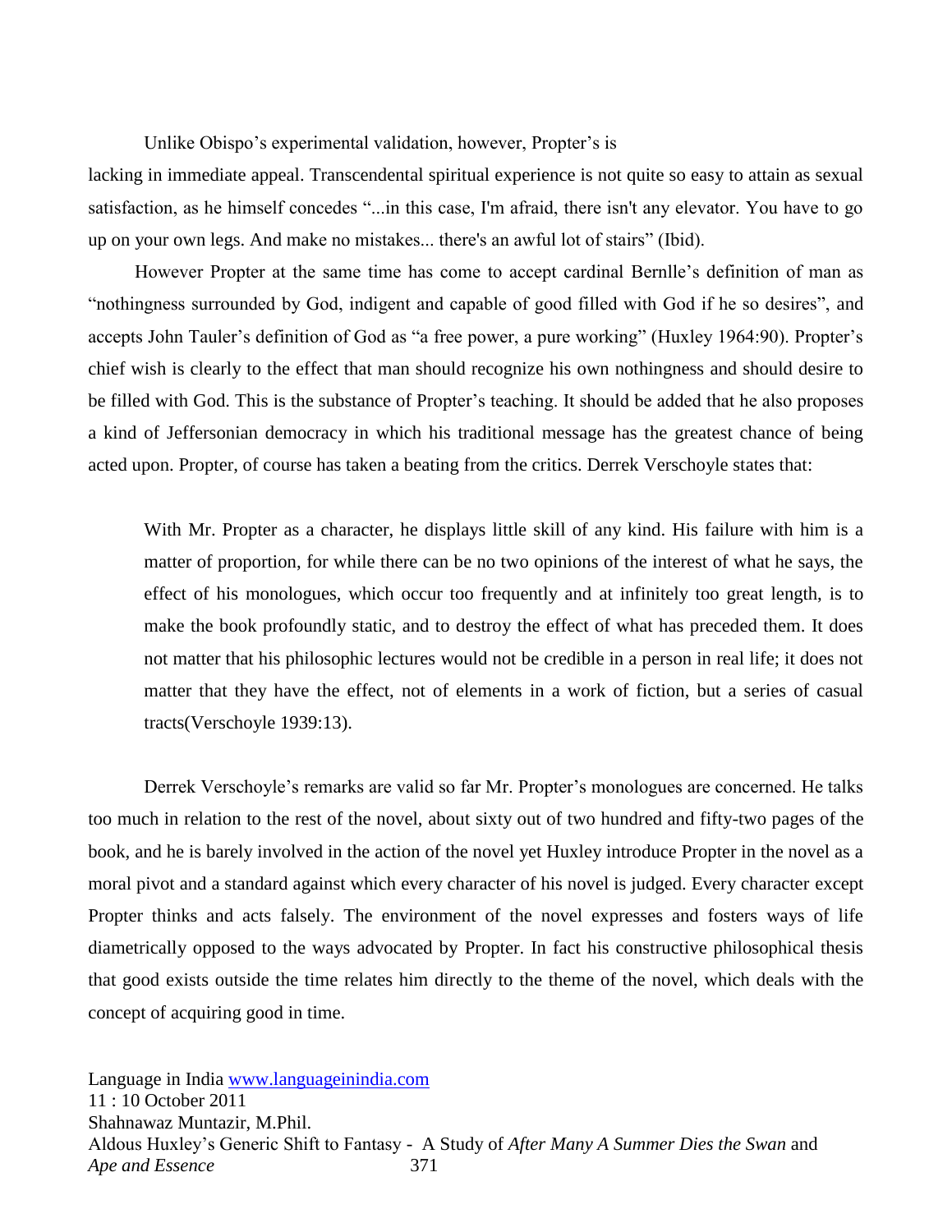Unlike Obispo's experimental validation, however, Propter's is

lacking in immediate appeal. Transcendental spiritual experience is not quite so easy to attain as sexual satisfaction, as he himself concedes "...in this case, I'm afraid, there isn't any elevator. You have to go up on your own legs. And make no mistakes... there's an awful lot of stairs" (Ibid).

 However Propter at the same time has come to accept cardinal Bernlle's definition of man as "nothingness surrounded by God, indigent and capable of good filled with God if he so desires", and accepts John Tauler's definition of God as "a free power, a pure working" (Huxley 1964:90). Propter's chief wish is clearly to the effect that man should recognize his own nothingness and should desire to be filled with God. This is the substance of Propter's teaching. It should be added that he also proposes a kind of Jeffersonian democracy in which his traditional message has the greatest chance of being acted upon. Propter, of course has taken a beating from the critics. Derrek Verschoyle states that:

With Mr. Propter as a character, he displays little skill of any kind. His failure with him is a matter of proportion, for while there can be no two opinions of the interest of what he says, the effect of his monologues, which occur too frequently and at infinitely too great length, is to make the book profoundly static, and to destroy the effect of what has preceded them. It does not matter that his philosophic lectures would not be credible in a person in real life; it does not matter that they have the effect, not of elements in a work of fiction, but a series of casual tracts(Verschoyle 1939:13).

Derrek Verschoyle's remarks are valid so far Mr. Propter's monologues are concerned. He talks too much in relation to the rest of the novel, about sixty out of two hundred and fifty-two pages of the book, and he is barely involved in the action of the novel yet Huxley introduce Propter in the novel as a moral pivot and a standard against which every character of his novel is judged. Every character except Propter thinks and acts falsely. The environment of the novel expresses and fosters ways of life diametrically opposed to the ways advocated by Propter. In fact his constructive philosophical thesis that good exists outside the time relates him directly to the theme of the novel, which deals with the concept of acquiring good in time.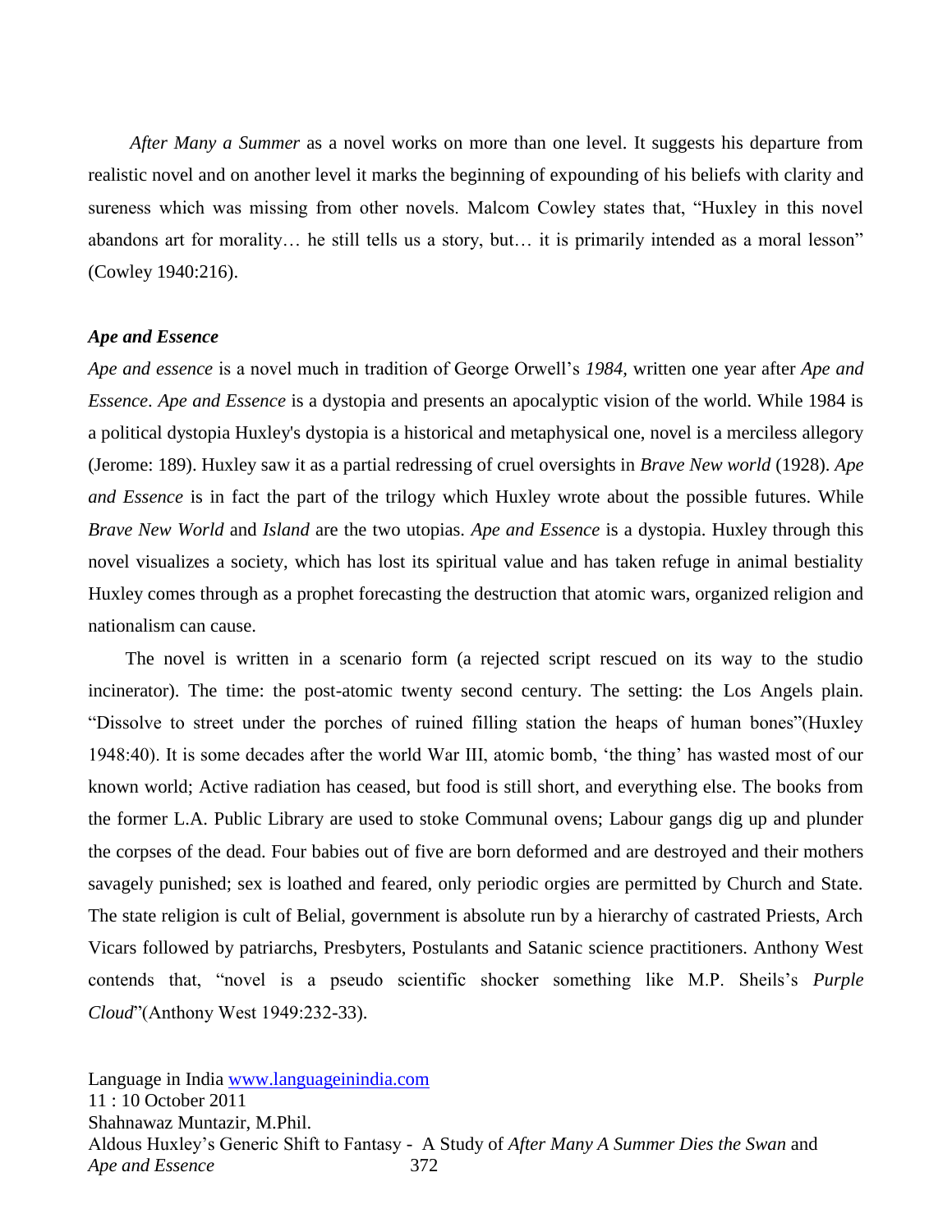*After Many a Summer* as a novel works on more than one level. It suggests his departure from realistic novel and on another level it marks the beginning of expounding of his beliefs with clarity and sureness which was missing from other novels. Malcom Cowley states that, "Huxley in this novel abandons art for morality... he still tells us a story, but... it is primarily intended as a moral lesson" (Cowley 1940:216).

#### *Ape and Essence*

*Ape and essence* is a novel much in tradition of George Orwell's *1984,* written one year after *Ape and Essence*. *Ape and Essence* is a dystopia and presents an apocalyptic vision of the world. While 1984 is a political dystopia Huxley's dystopia is a historical and metaphysical one, novel is a merciless allegory (Jerome: 189). Huxley saw it as a partial redressing of cruel oversights in *Brave New world* (1928). *Ape and Essence* is in fact the part of the trilogy which Huxley wrote about the possible futures. While *Brave New World* and *Island* are the two utopias. *Ape and Essence* is a dystopia. Huxley through this novel visualizes a society, which has lost its spiritual value and has taken refuge in animal bestiality Huxley comes through as a prophet forecasting the destruction that atomic wars, organized religion and nationalism can cause.

The novel is written in a scenario form (a rejected script rescued on its way to the studio incinerator). The time: the post-atomic twenty second century. The setting: the Los Angels plain. "Dissolve to street under the porches of ruined filling station the heaps of human bones"(Huxley 1948:40). It is some decades after the world War III, atomic bomb, ‗the thing' has wasted most of our known world; Active radiation has ceased, but food is still short, and everything else. The books from the former L.A. Public Library are used to stoke Communal ovens; Labour gangs dig up and plunder the corpses of the dead. Four babies out of five are born deformed and are destroyed and their mothers savagely punished; sex is loathed and feared, only periodic orgies are permitted by Church and State. The state religion is cult of Belial, government is absolute run by a hierarchy of castrated Priests, Arch Vicars followed by patriarchs, Presbyters, Postulants and Satanic science practitioners. Anthony West contends that, "novel is a pseudo scientific shocker something like M.P. Sheils's *Purple Cloud*"(Anthony West 1949:232-33).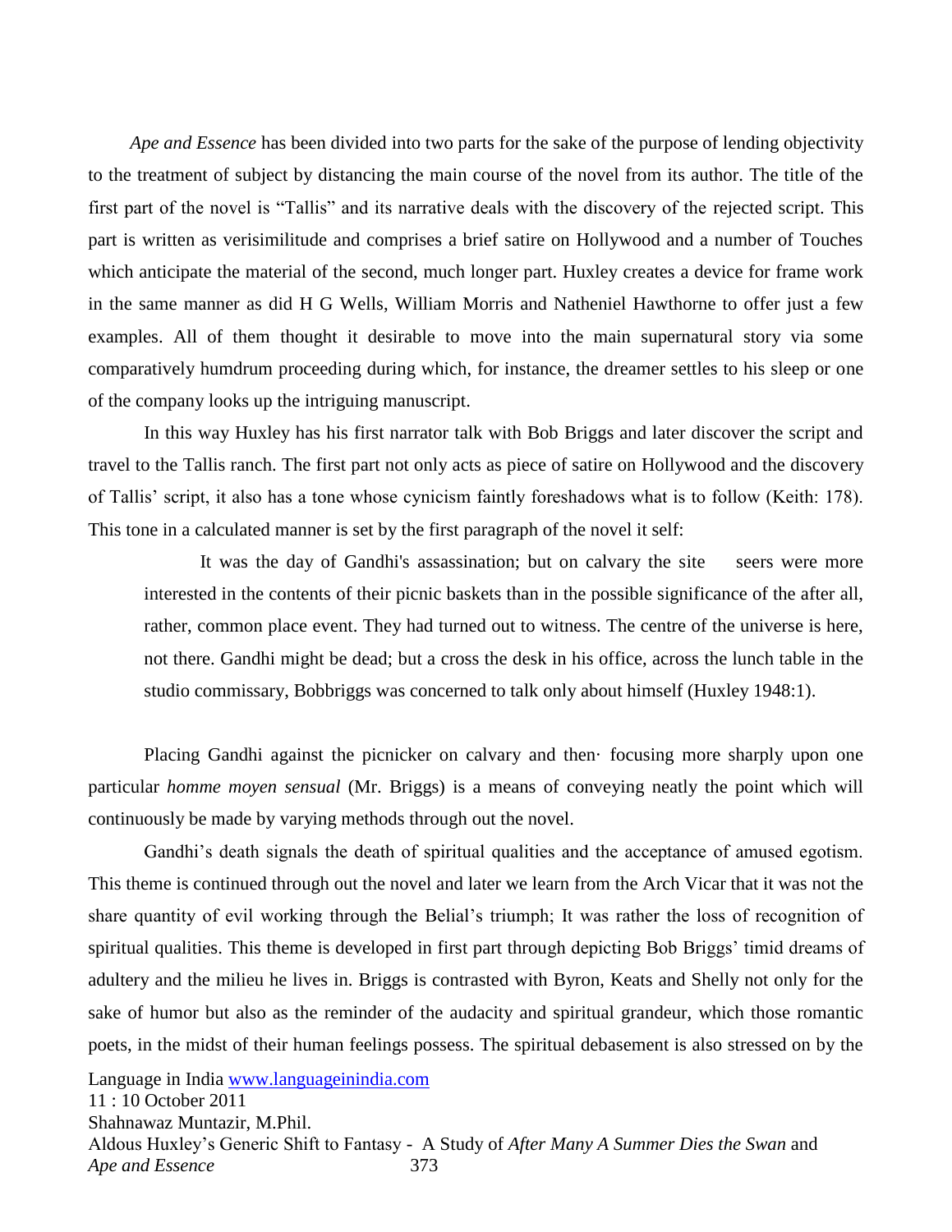*Ape and Essence* has been divided into two parts for the sake of the purpose of lending objectivity to the treatment of subject by distancing the main course of the novel from its author. The title of the first part of the novel is "Tallis" and its narrative deals with the discovery of the rejected script. This part is written as verisimilitude and comprises a brief satire on Hollywood and a number of Touches which anticipate the material of the second, much longer part. Huxley creates a device for frame work in the same manner as did H G Wells, William Morris and Natheniel Hawthorne to offer just a few examples. All of them thought it desirable to move into the main supernatural story via some comparatively humdrum proceeding during which, for instance, the dreamer settles to his sleep or one of the company looks up the intriguing manuscript.

In this way Huxley has his first narrator talk with Bob Briggs and later discover the script and travel to the Tallis ranch. The first part not only acts as piece of satire on Hollywood and the discovery of Tallis' script, it also has a tone whose cynicism faintly foreshadows what is to follow (Keith: 178). This tone in a calculated manner is set by the first paragraph of the novel it self:

It was the day of Gandhi's assassination; but on calvary the site seers were more interested in the contents of their picnic baskets than in the possible significance of the after all, rather, common place event. They had turned out to witness. The centre of the universe is here, not there. Gandhi might be dead; but a cross the desk in his office, across the lunch table in the studio commissary, Bobbriggs was concerned to talk only about himself (Huxley 1948:1).

Placing Gandhi against the picnicker on calvary and then focusing more sharply upon one particular *homme moyen sensual* (Mr. Briggs) is a means of conveying neatly the point which will continuously be made by varying methods through out the novel.

Gandhi's death signals the death of spiritual qualities and the acceptance of amused egotism. This theme is continued through out the novel and later we learn from the Arch Vicar that it was not the share quantity of evil working through the Belial's triumph; It was rather the loss of recognition of spiritual qualities. This theme is developed in first part through depicting Bob Briggs' timid dreams of adultery and the milieu he lives in. Briggs is contrasted with Byron, Keats and Shelly not only for the sake of humor but also as the reminder of the audacity and spiritual grandeur, which those romantic poets, in the midst of their human feelings possess. The spiritual debasement is also stressed on by the

Language in India [www.languageinindia.com](http://www.languageinindia.com/)

11 : 10 October 2011 Shahnawaz Muntazir, M.Phil. Aldous Huxley's Generic Shift to Fantasy - A Study of *After Many A Summer Dies the Swan* and *Ape and Essence* 373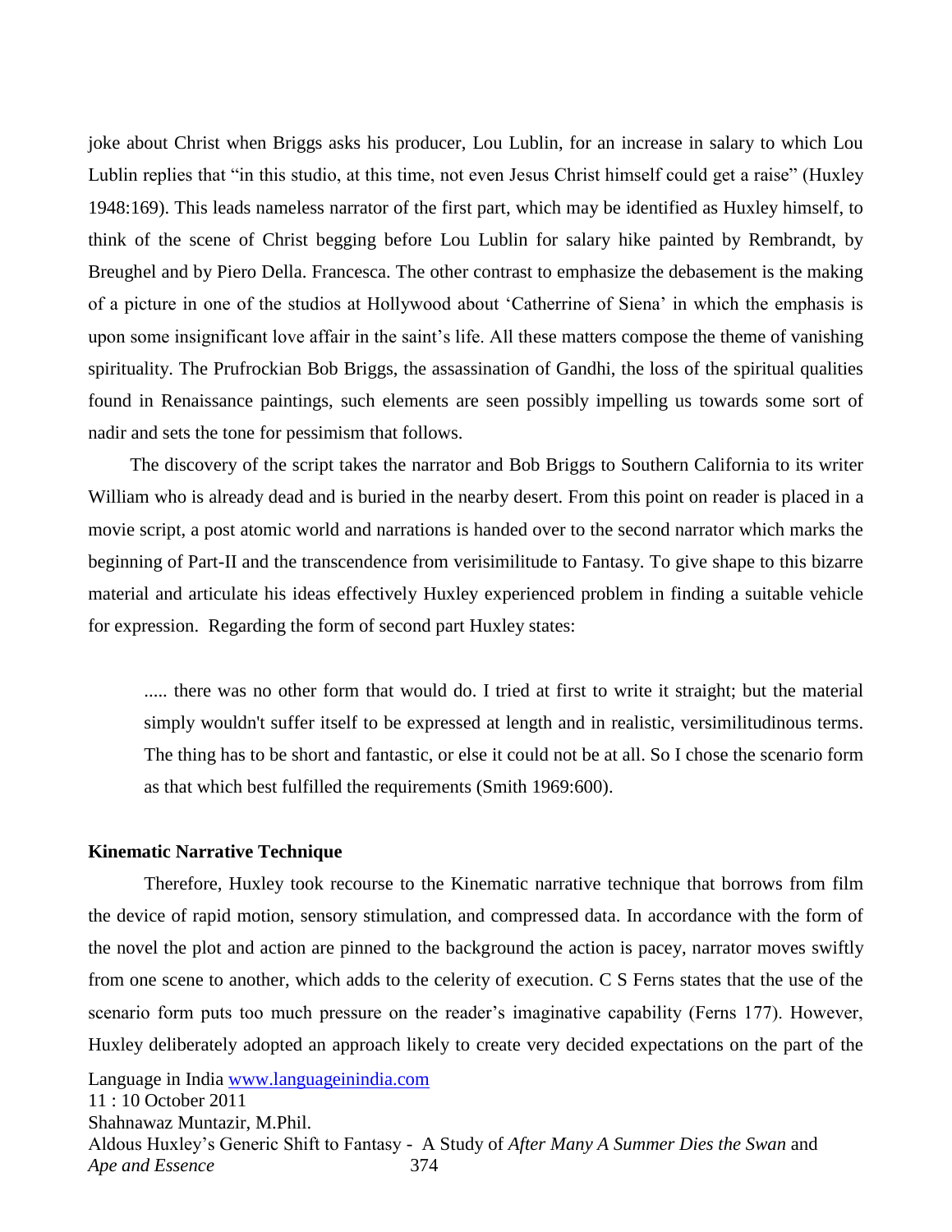joke about Christ when Briggs asks his producer, Lou Lublin, for an increase in salary to which Lou Lublin replies that "in this studio, at this time, not even Jesus Christ himself could get a raise" (Huxley 1948:169). This leads nameless narrator of the first part, which may be identified as Huxley himself, to think of the scene of Christ begging before Lou Lublin for salary hike painted by Rembrandt, by Breughel and by Piero Della. Francesca. The other contrast to emphasize the debasement is the making of a picture in one of the studios at Hollywood about ‗Catherrine of Siena' in which the emphasis is upon some insignificant love affair in the saint's life. All these matters compose the theme of vanishing spirituality. The Prufrockian Bob Briggs, the assassination of Gandhi, the loss of the spiritual qualities found in Renaissance paintings, such elements are seen possibly impelling us towards some sort of nadir and sets the tone for pessimism that follows.

 The discovery of the script takes the narrator and Bob Briggs to Southern California to its writer William who is already dead and is buried in the nearby desert. From this point on reader is placed in a movie script, a post atomic world and narrations is handed over to the second narrator which marks the beginning of Part-II and the transcendence from verisimilitude to Fantasy. To give shape to this bizarre material and articulate his ideas effectively Huxley experienced problem in finding a suitable vehicle for expression. Regarding the form of second part Huxley states:

..... there was no other form that would do. I tried at first to write it straight; but the material simply wouldn't suffer itself to be expressed at length and in realistic, versimilitudinous terms. The thing has to be short and fantastic, or else it could not be at all. So I chose the scenario form as that which best fulfilled the requirements (Smith 1969:600).

#### **Kinematic Narrative Technique**

Language in India [www.languageinindia.com](http://www.languageinindia.com/) 11 : 10 October 2011 Shahnawaz Muntazir, M.Phil. Aldous Huxley's Generic Shift to Fantasy - A Study of *After Many A Summer Dies the Swan* and Therefore, Huxley took recourse to the Kinematic narrative technique that borrows from film the device of rapid motion, sensory stimulation, and compressed data. In accordance with the form of the novel the plot and action are pinned to the background the action is pacey, narrator moves swiftly from one scene to another, which adds to the celerity of execution. C S Ferns states that the use of the scenario form puts too much pressure on the reader's imaginative capability (Ferns 177). However, Huxley deliberately adopted an approach likely to create very decided expectations on the part of the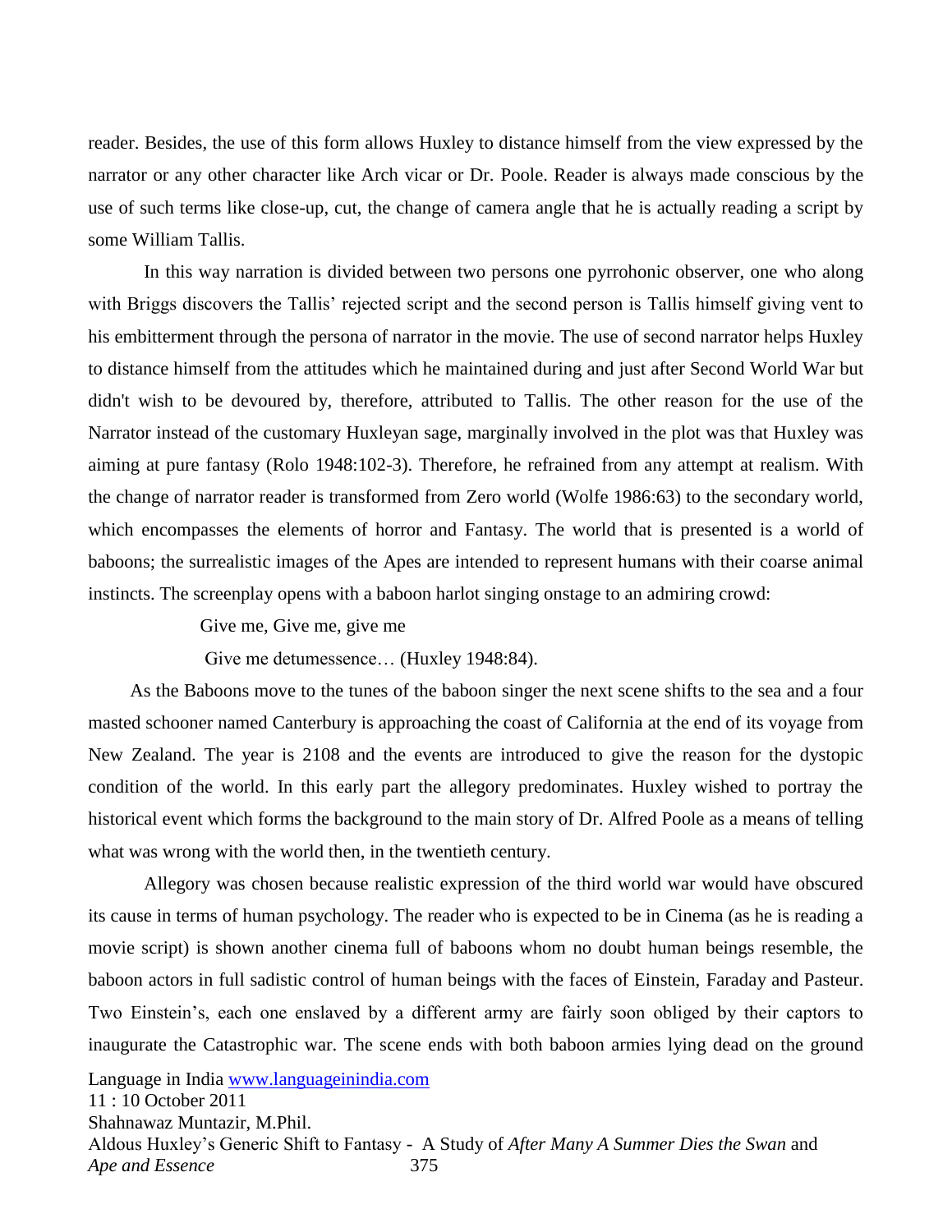reader. Besides, the use of this form allows Huxley to distance himself from the view expressed by the narrator or any other character like Arch vicar or Dr. Poole. Reader is always made conscious by the use of such terms like close-up, cut, the change of camera angle that he is actually reading a script by some William Tallis.

In this way narration is divided between two persons one pyrrohonic observer, one who along with Briggs discovers the Tallis' rejected script and the second person is Tallis himself giving vent to his embitterment through the persona of narrator in the movie. The use of second narrator helps Huxley to distance himself from the attitudes which he maintained during and just after Second World War but didn't wish to be devoured by, therefore, attributed to Tallis. The other reason for the use of the Narrator instead of the customary Huxleyan sage, marginally involved in the plot was that Huxley was aiming at pure fantasy (Rolo 1948:102-3). Therefore, he refrained from any attempt at realism. With the change of narrator reader is transformed from Zero world (Wolfe 1986:63) to the secondary world, which encompasses the elements of horror and Fantasy. The world that is presented is a world of baboons; the surrealistic images of the Apes are intended to represent humans with their coarse animal instincts. The screenplay opens with a baboon harlot singing onstage to an admiring crowd:

Give me, Give me, give me

Give me detumessence… (Huxley 1948:84).

 As the Baboons move to the tunes of the baboon singer the next scene shifts to the sea and a four masted schooner named Canterbury is approaching the coast of California at the end of its voyage from New Zealand. The year is 2108 and the events are introduced to give the reason for the dystopic condition of the world. In this early part the allegory predominates. Huxley wished to portray the historical event which forms the background to the main story of Dr. Alfred Poole as a means of telling what was wrong with the world then, in the twentieth century.

Allegory was chosen because realistic expression of the third world war would have obscured its cause in terms of human psychology. The reader who is expected to be in Cinema (as he is reading a movie script) is shown another cinema full of baboons whom no doubt human beings resemble, the baboon actors in full sadistic control of human beings with the faces of Einstein, Faraday and Pasteur. Two Einstein's, each one enslaved by a different army are fairly soon obliged by their captors to inaugurate the Catastrophic war. The scene ends with both baboon armies lying dead on the ground

Language in India [www.languageinindia.com](http://www.languageinindia.com/)

11 : 10 October 2011

Shahnawaz Muntazir, M.Phil.

Aldous Huxley's Generic Shift to Fantasy - A Study of *After Many A Summer Dies the Swan* and *Ape and Essence* 375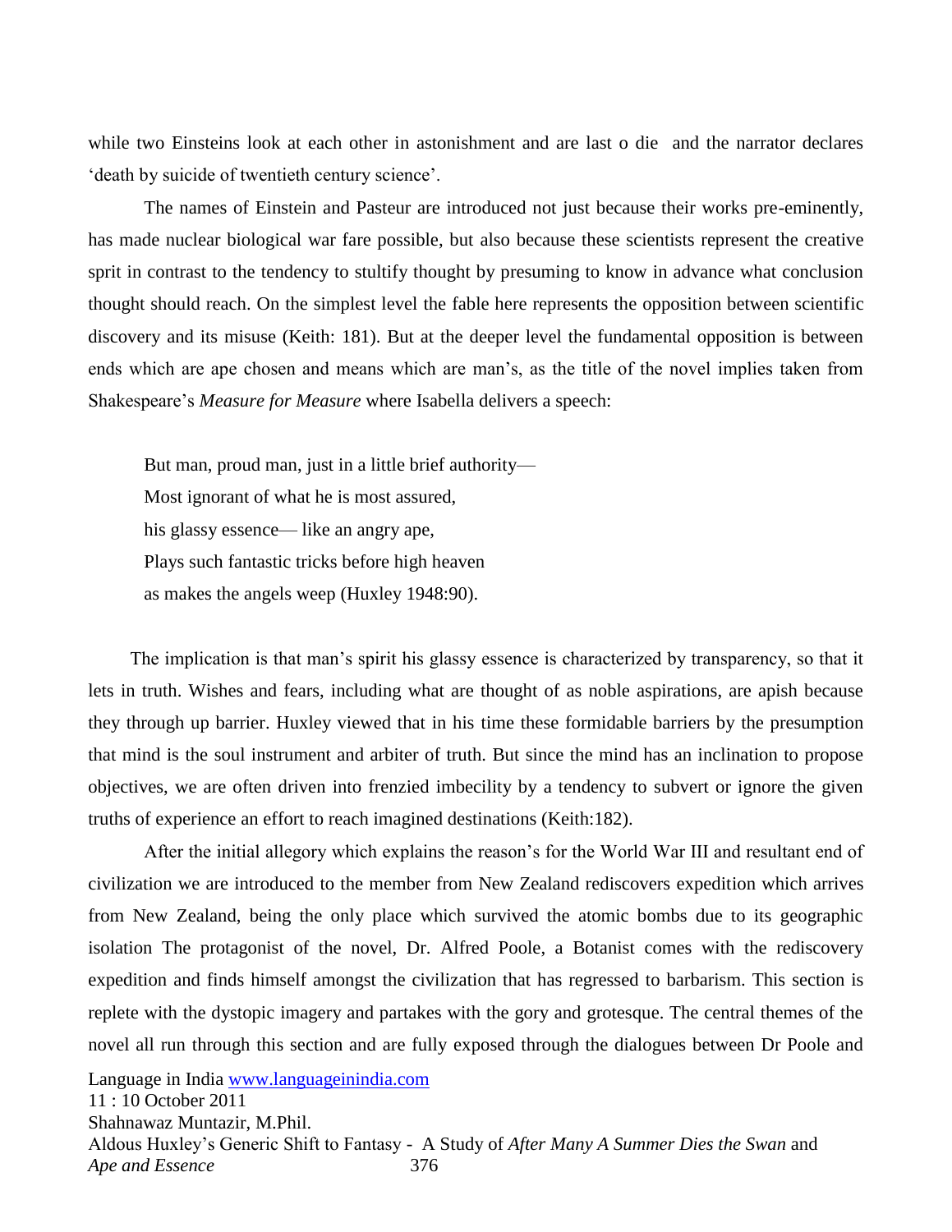while two Einsteins look at each other in astonishment and are last o die and the narrator declares death by suicide of twentieth century science'.

The names of Einstein and Pasteur are introduced not just because their works pre-eminently, has made nuclear biological war fare possible, but also because these scientists represent the creative sprit in contrast to the tendency to stultify thought by presuming to know in advance what conclusion thought should reach. On the simplest level the fable here represents the opposition between scientific discovery and its misuse (Keith: 181). But at the deeper level the fundamental opposition is between ends which are ape chosen and means which are man's, as the title of the novel implies taken from Shakespeare's *Measure for Measure* where Isabella delivers a speech:

But man, proud man, just in a little brief authority— Most ignorant of what he is most assured, his glassy essence— like an angry ape, Plays such fantastic tricks before high heaven as makes the angels weep (Huxley 1948:90).

 The implication is that man's spirit his glassy essence is characterized by transparency, so that it lets in truth. Wishes and fears, including what are thought of as noble aspirations, are apish because they through up barrier. Huxley viewed that in his time these formidable barriers by the presumption that mind is the soul instrument and arbiter of truth. But since the mind has an inclination to propose objectives, we are often driven into frenzied imbecility by a tendency to subvert or ignore the given truths of experience an effort to reach imagined destinations (Keith:182).

After the initial allegory which explains the reason's for the World War III and resultant end of civilization we are introduced to the member from New Zealand rediscovers expedition which arrives from New Zealand, being the only place which survived the atomic bombs due to its geographic isolation The protagonist of the novel, Dr. Alfred Poole, a Botanist comes with the rediscovery expedition and finds himself amongst the civilization that has regressed to barbarism. This section is replete with the dystopic imagery and partakes with the gory and grotesque. The central themes of the novel all run through this section and are fully exposed through the dialogues between Dr Poole and

Language in India [www.languageinindia.com](http://www.languageinindia.com/)

11 : 10 October 2011 Shahnawaz Muntazir, M.Phil. Aldous Huxley's Generic Shift to Fantasy - A Study of *After Many A Summer Dies the Swan* and *Ape and Essence* 376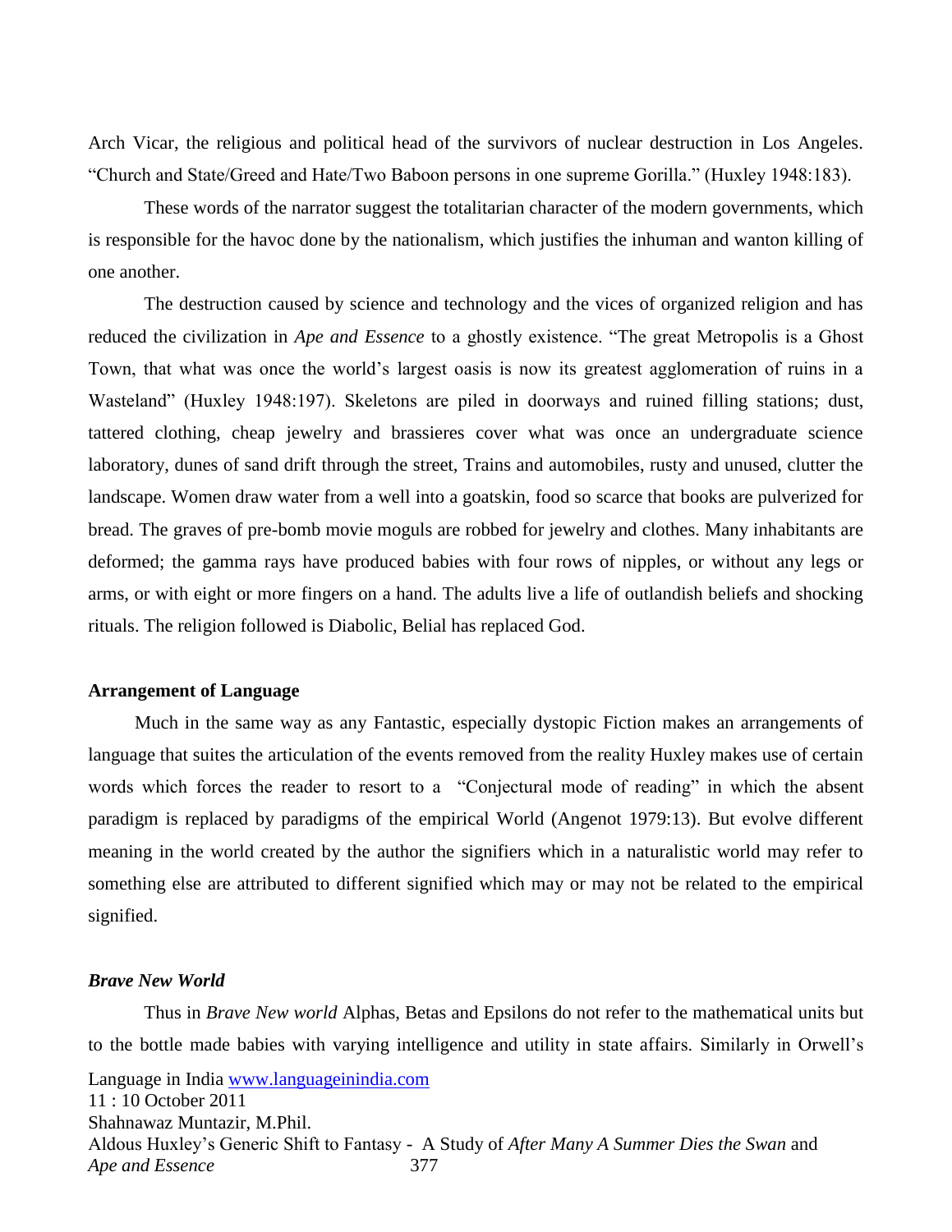Arch Vicar, the religious and political head of the survivors of nuclear destruction in Los Angeles. ―Church and State/Greed and Hate/Two Baboon persons in one supreme Gorilla.‖ (Huxley 1948:183).

These words of the narrator suggest the totalitarian character of the modern governments, which is responsible for the havoc done by the nationalism, which justifies the inhuman and wanton killing of one another.

The destruction caused by science and technology and the vices of organized religion and has reduced the civilization in *Ape and Essence* to a ghostly existence. "The great Metropolis is a Ghost Town, that what was once the world's largest oasis is now its greatest agglomeration of ruins in a Wasteland" (Huxley 1948:197). Skeletons are piled in doorways and ruined filling stations; dust, tattered clothing, cheap jewelry and brassieres cover what was once an undergraduate science laboratory, dunes of sand drift through the street, Trains and automobiles, rusty and unused, clutter the landscape. Women draw water from a well into a goatskin, food so scarce that books are pulverized for bread. The graves of pre-bomb movie moguls are robbed for jewelry and clothes. Many inhabitants are deformed; the gamma rays have produced babies with four rows of nipples, or without any legs or arms, or with eight or more fingers on a hand. The adults live a life of outlandish beliefs and shocking rituals. The religion followed is Diabolic, Belial has replaced God.

#### **Arrangement of Language**

 Much in the same way as any Fantastic, especially dystopic Fiction makes an arrangements of language that suites the articulation of the events removed from the reality Huxley makes use of certain words which forces the reader to resort to a "Conjectural mode of reading" in which the absent paradigm is replaced by paradigms of the empirical World (Angenot 1979:13). But evolve different meaning in the world created by the author the signifiers which in a naturalistic world may refer to something else are attributed to different signified which may or may not be related to the empirical signified.

#### *Brave New World*

Language in India [www.languageinindia.com](http://www.languageinindia.com/) 11 : 10 October 2011 Shahnawaz Muntazir, M.Phil. Aldous Huxley's Generic Shift to Fantasy - A Study of *After Many A Summer Dies the Swan* and *Ape and Essence* 377 Thus in *Brave New world* Alphas, Betas and Epsilons do not refer to the mathematical units but to the bottle made babies with varying intelligence and utility in state affairs. Similarly in Orwell's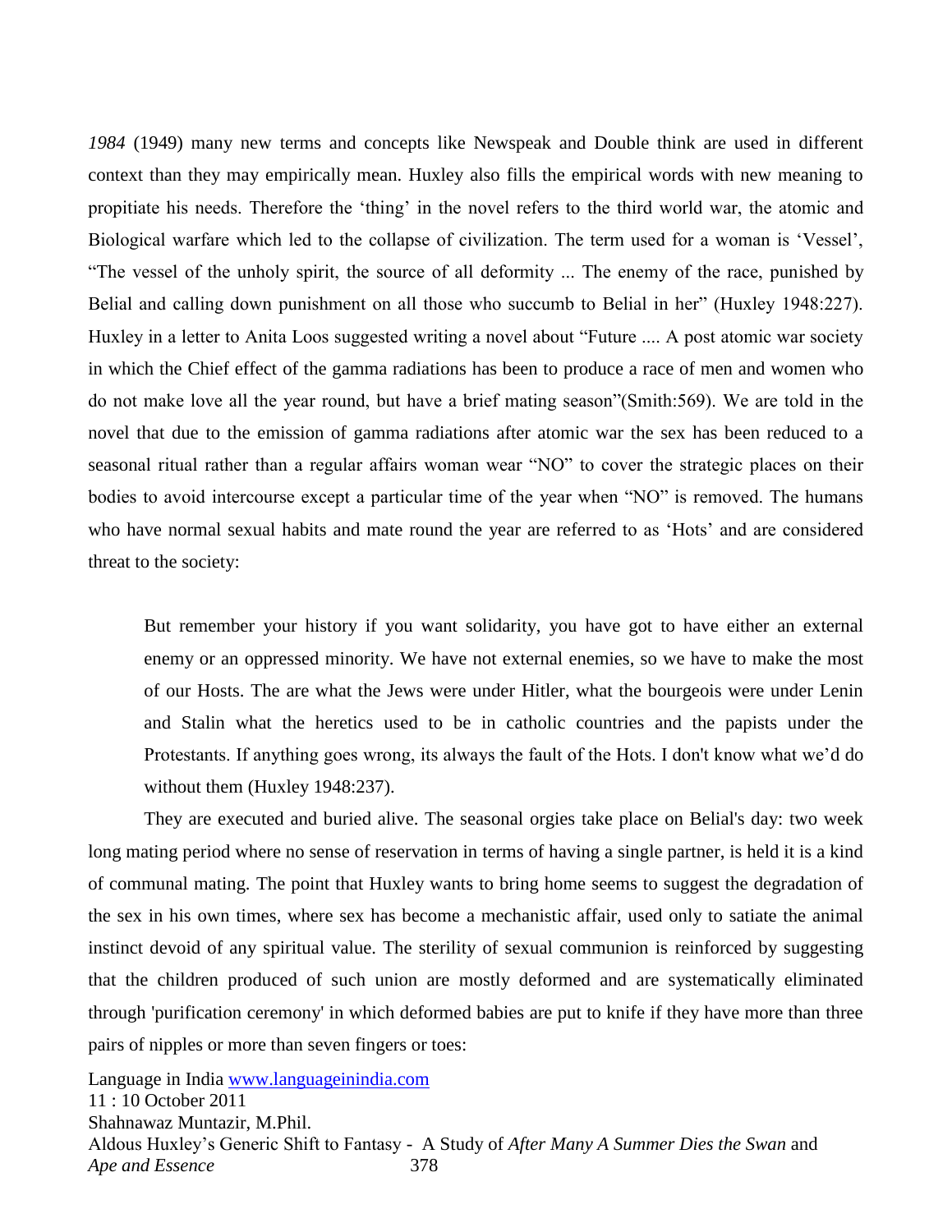*1984* (1949) many new terms and concepts like Newspeak and Double think are used in different context than they may empirically mean. Huxley also fills the empirical words with new meaning to propitiate his needs. Therefore the 'thing' in the novel refers to the third world war, the atomic and Biological warfare which led to the collapse of civilization. The term used for a woman is 'Vessel', ―The vessel of the unholy spirit, the source of all deformity ... The enemy of the race, punished by Belial and calling down punishment on all those who succumb to Belial in her" (Huxley 1948:227). Huxley in a letter to Anita Loos suggested writing a novel about "Future .... A post atomic war society in which the Chief effect of the gamma radiations has been to produce a race of men and women who do not make love all the year round, but have a brief mating season"(Smith:569). We are told in the novel that due to the emission of gamma radiations after atomic war the sex has been reduced to a seasonal ritual rather than a regular affairs woman wear "NO" to cover the strategic places on their bodies to avoid intercourse except a particular time of the year when "NO" is removed. The humans who have normal sexual habits and mate round the year are referred to as 'Hots' and are considered threat to the society:

But remember your history if you want solidarity, you have got to have either an external enemy or an oppressed minority. We have not external enemies, so we have to make the most of our Hosts. The are what the Jews were under Hitler, what the bourgeois were under Lenin and Stalin what the heretics used to be in catholic countries and the papists under the Protestants. If anything goes wrong, its always the fault of the Hots. I don't know what we'd do without them (Huxley 1948:237).

They are executed and buried alive. The seasonal orgies take place on Belial's day: two week long mating period where no sense of reservation in terms of having a single partner, is held it is a kind of communal mating. The point that Huxley wants to bring home seems to suggest the degradation of the sex in his own times, where sex has become a mechanistic affair, used only to satiate the animal instinct devoid of any spiritual value. The sterility of sexual communion is reinforced by suggesting that the children produced of such union are mostly deformed and are systematically eliminated through 'purification ceremony' in which deformed babies are put to knife if they have more than three pairs of nipples or more than seven fingers or toes: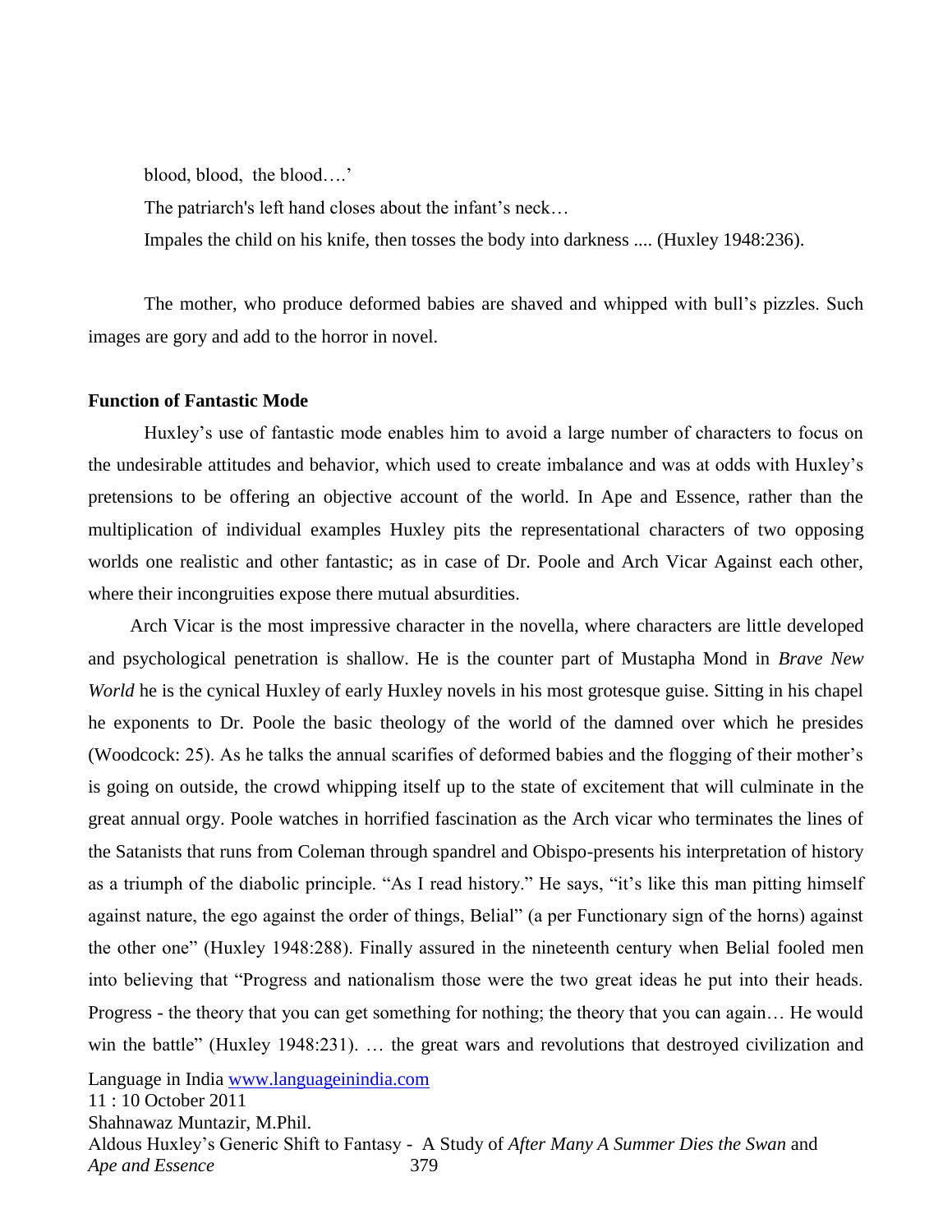blood, blood, the blood….'

The patriarch's left hand closes about the infant's neck…

Impales the child on his knife, then tosses the body into darkness .... (Huxley 1948:236).

The mother, who produce deformed babies are shaved and whipped with bull's pizzles. Such images are gory and add to the horror in novel.

#### **Function of Fantastic Mode**

Huxley's use of fantastic mode enables him to avoid a large number of characters to focus on the undesirable attitudes and behavior, which used to create imbalance and was at odds with Huxley's pretensions to be offering an objective account of the world. In Ape and Essence, rather than the multiplication of individual examples Huxley pits the representational characters of two opposing worlds one realistic and other fantastic; as in case of Dr. Poole and Arch Vicar Against each other, where their incongruities expose there mutual absurdities.

 Arch Vicar is the most impressive character in the novella, where characters are little developed and psychological penetration is shallow. He is the counter part of Mustapha Mond in *Brave New World* he is the cynical Huxley of early Huxley novels in his most grotesque guise. Sitting in his chapel he exponents to Dr. Poole the basic theology of the world of the damned over which he presides (Woodcock: 25). As he talks the annual scarifies of deformed babies and the flogging of their mother's is going on outside, the crowd whipping itself up to the state of excitement that will culminate in the great annual orgy. Poole watches in horrified fascination as the Arch vicar who terminates the lines of the Satanists that runs from Coleman through spandrel and Obispo-presents his interpretation of history as a triumph of the diabolic principle. "As I read history." He says, "it's like this man pitting himself against nature, the ego against the order of things, Belial" (a per Functionary sign of the horns) against the other one" (Huxley 1948:288). Finally assured in the nineteenth century when Belial fooled men into believing that "Progress and nationalism those were the two great ideas he put into their heads. Progress - the theory that you can get something for nothing; the theory that you can again… He would win the battle" (Huxley 1948:231). ... the great wars and revolutions that destroyed civilization and

Language in India [www.languageinindia.com](http://www.languageinindia.com/)

11 : 10 October 2011

Shahnawaz Muntazir, M.Phil.

Aldous Huxley's Generic Shift to Fantasy - A Study of *After Many A Summer Dies the Swan* and *Ape and Essence* 379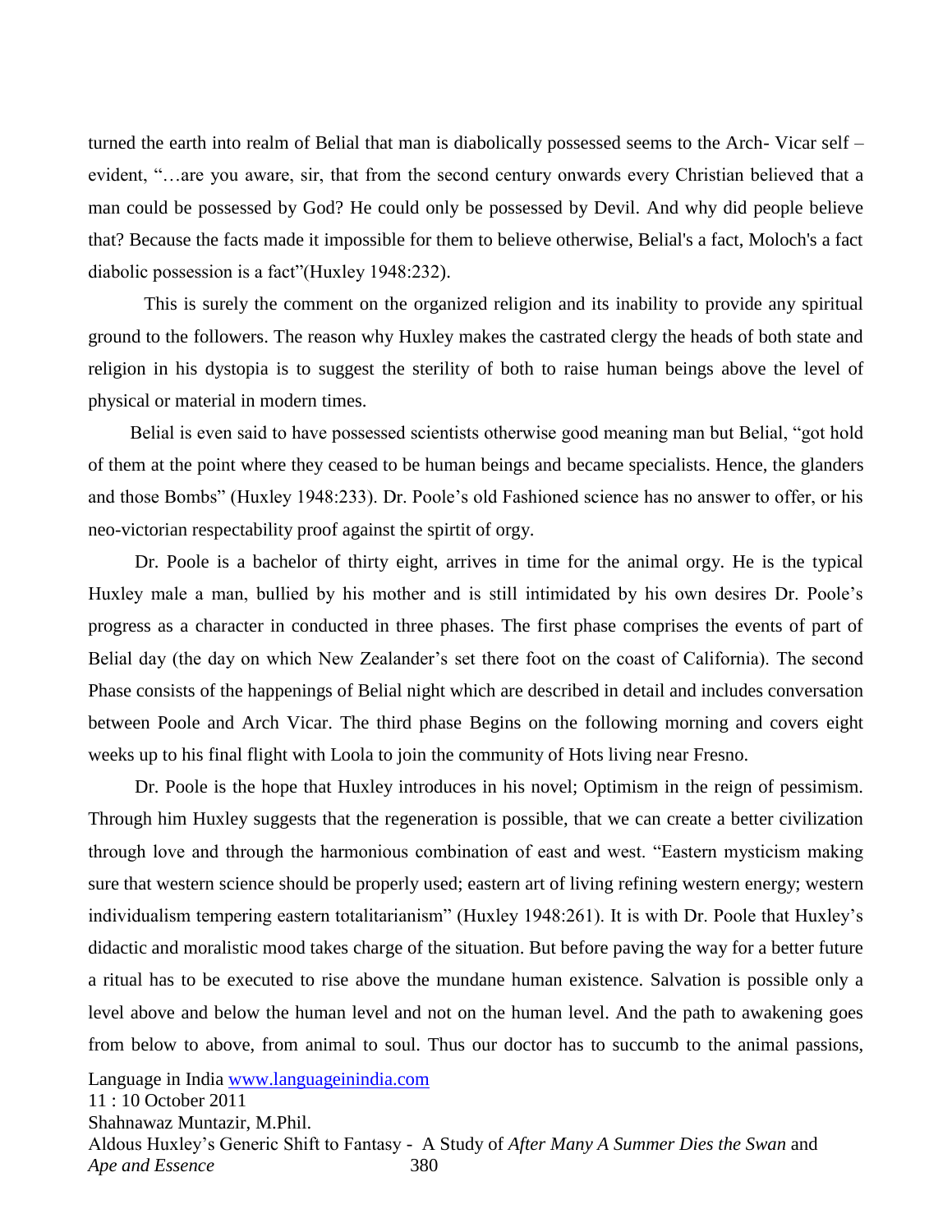turned the earth into realm of Belial that man is diabolically possessed seems to the Arch- Vicar self – evident, "...are you aware, sir, that from the second century onwards every Christian believed that a man could be possessed by God? He could only be possessed by Devil. And why did people believe that? Because the facts made it impossible for them to believe otherwise, Belial's a fact, Moloch's a fact diabolic possession is a fact" (Huxley 1948:232).

This is surely the comment on the organized religion and its inability to provide any spiritual ground to the followers. The reason why Huxley makes the castrated clergy the heads of both state and religion in his dystopia is to suggest the sterility of both to raise human beings above the level of physical or material in modern times.

Belial is even said to have possessed scientists otherwise good meaning man but Belial, "got hold" of them at the point where they ceased to be human beings and became specialists. Hence, the glanders and those Bombs" (Huxley 1948:233). Dr. Poole's old Fashioned science has no answer to offer, or his neo-victorian respectability proof against the spirtit of orgy.

 Dr. Poole is a bachelor of thirty eight, arrives in time for the animal orgy. He is the typical Huxley male a man, bullied by his mother and is still intimidated by his own desires Dr. Poole's progress as a character in conducted in three phases. The first phase comprises the events of part of Belial day (the day on which New Zealander's set there foot on the coast of California). The second Phase consists of the happenings of Belial night which are described in detail and includes conversation between Poole and Arch Vicar. The third phase Begins on the following morning and covers eight weeks up to his final flight with Loola to join the community of Hots living near Fresno.

 Dr. Poole is the hope that Huxley introduces in his novel; Optimism in the reign of pessimism. Through him Huxley suggests that the regeneration is possible, that we can create a better civilization through love and through the harmonious combination of east and west. "Eastern mysticism making sure that western science should be properly used; eastern art of living refining western energy; western individualism tempering eastern totalitarianism" (Huxley 1948:261). It is with Dr. Poole that Huxley's didactic and moralistic mood takes charge of the situation. But before paving the way for a better future a ritual has to be executed to rise above the mundane human existence. Salvation is possible only a level above and below the human level and not on the human level. And the path to awakening goes from below to above, from animal to soul. Thus our doctor has to succumb to the animal passions,

Language in India [www.languageinindia.com](http://www.languageinindia.com/)

11 : 10 October 2011

Shahnawaz Muntazir, M.Phil.

Aldous Huxley's Generic Shift to Fantasy - A Study of *After Many A Summer Dies the Swan* and *Ape and Essence* 380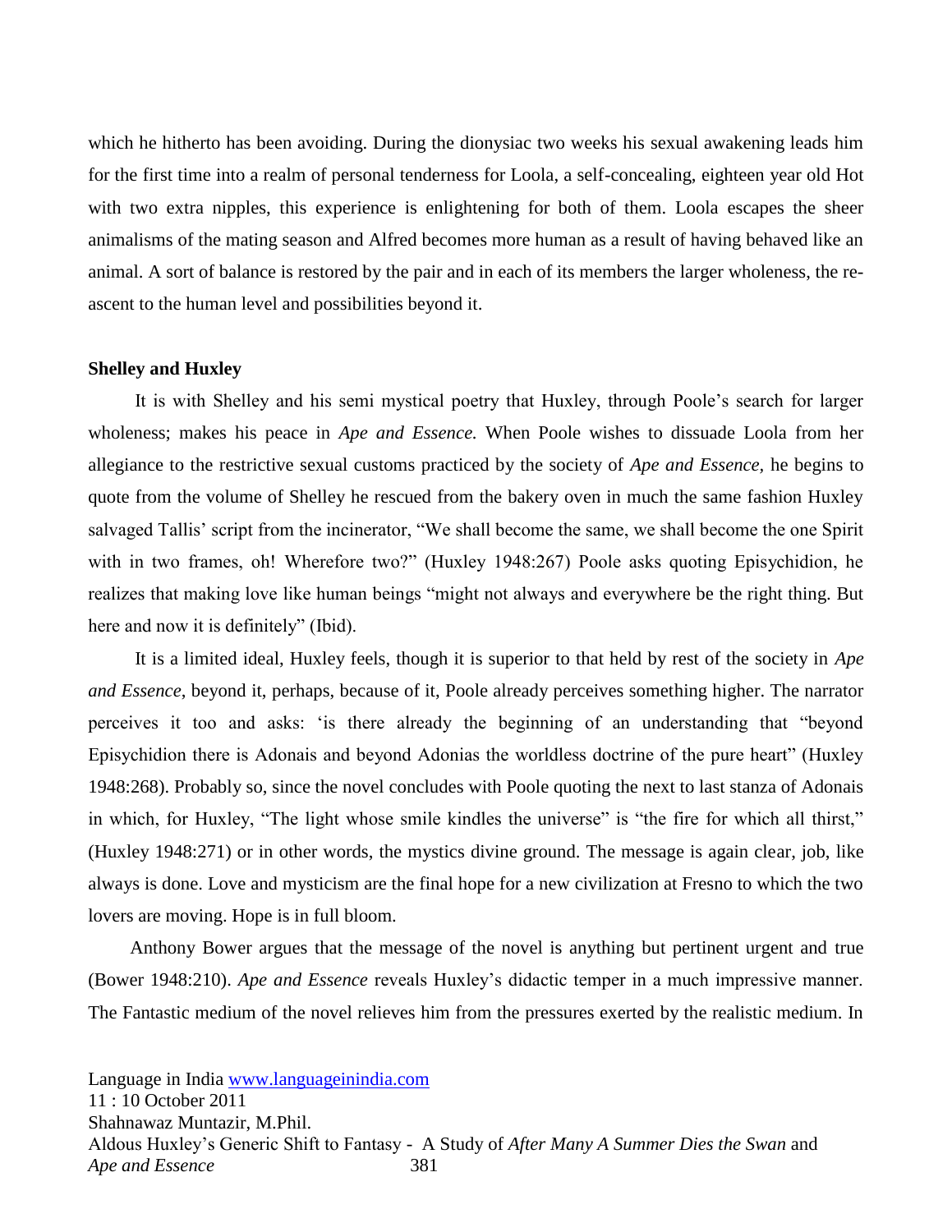which he hitherto has been avoiding. During the dionysiac two weeks his sexual awakening leads him for the first time into a realm of personal tenderness for Loola, a self-concealing, eighteen year old Hot with two extra nipples, this experience is enlightening for both of them. Loola escapes the sheer animalisms of the mating season and Alfred becomes more human as a result of having behaved like an animal. A sort of balance is restored by the pair and in each of its members the larger wholeness, the reascent to the human level and possibilities beyond it.

#### **Shelley and Huxley**

 It is with Shelley and his semi mystical poetry that Huxley, through Poole's search for larger wholeness; makes his peace in *Ape and Essence.* When Poole wishes to dissuade Loola from her allegiance to the restrictive sexual customs practiced by the society of *Ape and Essence,* he begins to quote from the volume of Shelley he rescued from the bakery oven in much the same fashion Huxley salvaged Tallis' script from the incinerator, "We shall become the same, we shall become the one Spirit with in two frames, oh! Wherefore two?" (Huxley 1948:267) Poole asks quoting Episychidion, he realizes that making love like human beings "might not always and everywhere be the right thing. But here and now it is definitely" (Ibid).

 It is a limited ideal, Huxley feels, though it is superior to that held by rest of the society in *Ape and Essence*, beyond it, perhaps, because of it, Poole already perceives something higher. The narrator perceives it too and asks: 'is there already the beginning of an understanding that "beyond Episychidion there is Adonais and beyond Adonias the worldless doctrine of the pure heart" (Huxley 1948:268). Probably so, since the novel concludes with Poole quoting the next to last stanza of Adonais in which, for Huxley, "The light whose smile kindles the universe" is "the fire for which all thirst," (Huxley 1948:271) or in other words, the mystics divine ground. The message is again clear, job, like always is done. Love and mysticism are the final hope for a new civilization at Fresno to which the two lovers are moving. Hope is in full bloom.

 Anthony Bower argues that the message of the novel is anything but pertinent urgent and true (Bower 1948:210). *Ape and Essence* reveals Huxley's didactic temper in a much impressive manner. The Fantastic medium of the novel relieves him from the pressures exerted by the realistic medium. In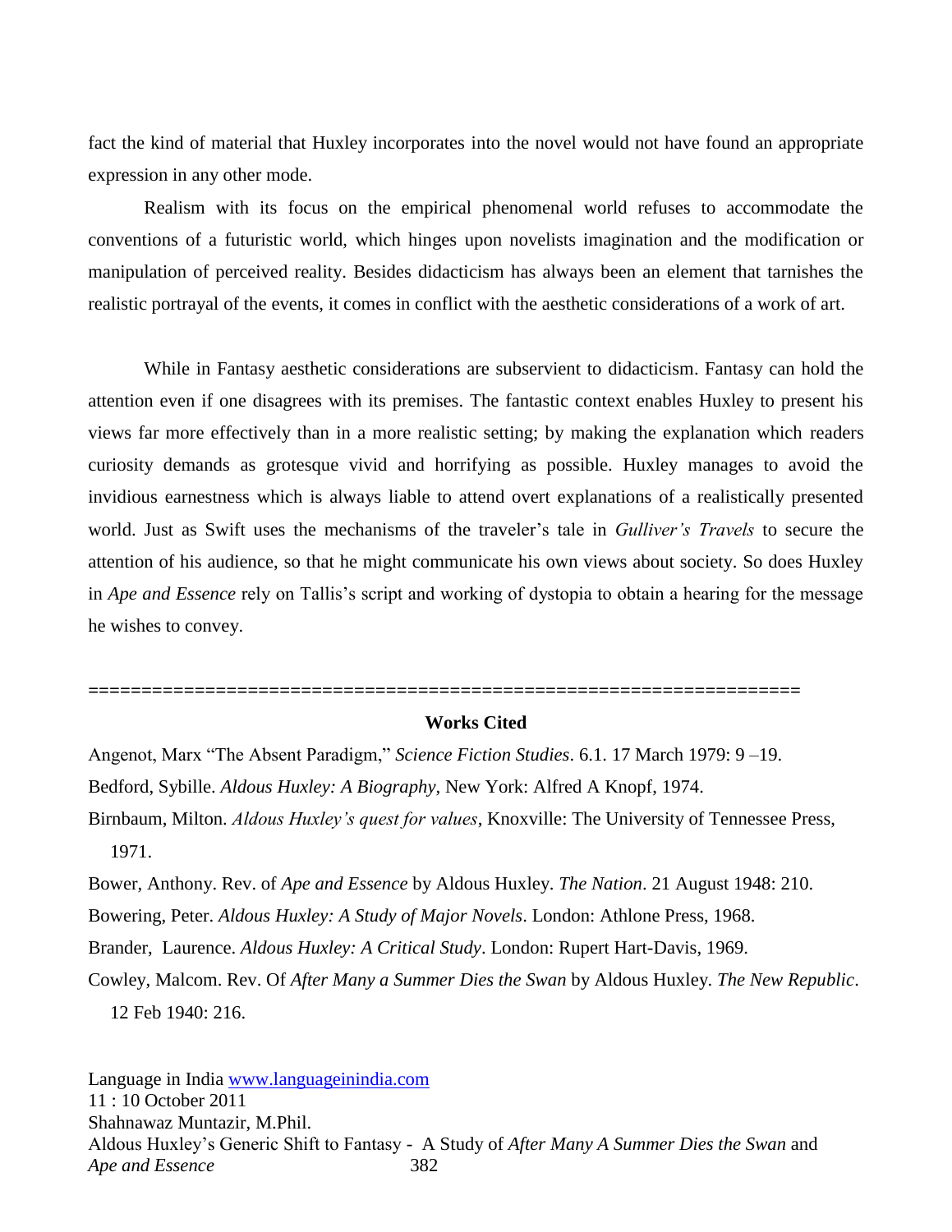fact the kind of material that Huxley incorporates into the novel would not have found an appropriate expression in any other mode.

Realism with its focus on the empirical phenomenal world refuses to accommodate the conventions of a futuristic world, which hinges upon novelists imagination and the modification or manipulation of perceived reality. Besides didacticism has always been an element that tarnishes the realistic portrayal of the events, it comes in conflict with the aesthetic considerations of a work of art.

While in Fantasy aesthetic considerations are subservient to didacticism. Fantasy can hold the attention even if one disagrees with its premises. The fantastic context enables Huxley to present his views far more effectively than in a more realistic setting; by making the explanation which readers curiosity demands as grotesque vivid and horrifying as possible. Huxley manages to avoid the invidious earnestness which is always liable to attend overt explanations of a realistically presented world. Just as Swift uses the mechanisms of the traveler's tale in *Gulliver's Travels* to secure the attention of his audience, so that he might communicate his own views about society. So does Huxley in *Ape and Essence* rely on Tallis's script and working of dystopia to obtain a hearing for the message he wishes to convey.

**===================================================================**

#### **Works Cited**

Angenot, Marx "The Absent Paradigm," *Science Fiction Studies*. 6.1. 17 March 1979: 9-19. Bedford, Sybille. *Aldous Huxley: A Biography*, New York: Alfred A Knopf, 1974. Birnbaum, Milton. *Aldous Huxley's quest for values*, Knoxville: The University of Tennessee Press, 1971. Bower, Anthony. Rev. of *Ape and Essence* by Aldous Huxley. *The Nation*. 21 August 1948: 210. Bowering, Peter. *Aldous Huxley: A Study of Major Novels*. London: Athlone Press, 1968.

Brander, Laurence. *Aldous Huxley: A Critical Study*. London: Rupert Hart-Davis, 1969.

Cowley, Malcom. Rev. Of *After Many a Summer Dies the Swan* by Aldous Huxley. *The New Republic*. 12 Feb 1940: 216.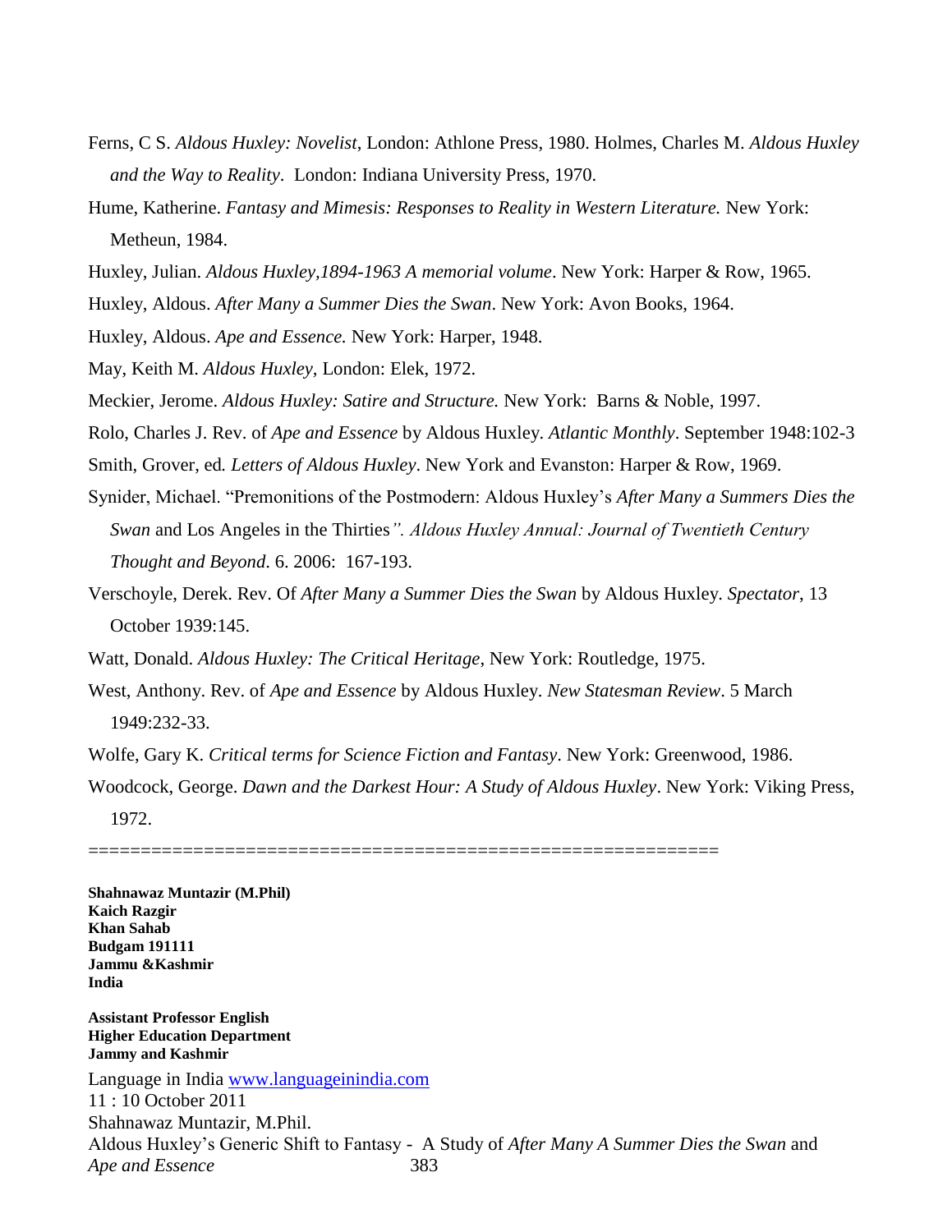- Ferns, C S. *Aldous Huxley: Novelist*, London: Athlone Press, 1980. Holmes, Charles M. *Aldous Huxley and the Way to Reality*. London: Indiana University Press, 1970.
- Hume, Katherine. *Fantasy and Mimesis: Responses to Reality in Western Literature.* New York: Metheun, 1984.
- Huxley, Julian. *Aldous Huxley,1894-1963 A memorial volume*. New York: Harper & Row, 1965.

Huxley, Aldous. *After Many a Summer Dies the Swan*. New York: Avon Books, 1964.

Huxley, Aldous. *Ape and Essence.* New York: Harper, 1948.

May, Keith M. *Aldous Huxley,* London: Elek, 1972.

Meckier, Jerome. *Aldous Huxley: Satire and Structure.* New York: Barns & Noble, 1997.

Rolo, Charles J. Rev. of *Ape and Essence* by Aldous Huxley. *Atlantic Monthly*. September 1948:102-3

Smith, Grover, ed*. Letters of Aldous Huxley*. New York and Evanston: Harper & Row, 1969.

- Synider, Michael. "Premonitions of the Postmodern: Aldous Huxley's *After Many a Summers Dies the Swan* and Los Angeles in the Thirties*". Aldous Huxley Annual: Journal of Twentieth Century Thought and Beyond*. 6. 2006: 167-193.
- Verschoyle, Derek. Rev. Of *After Many a Summer Dies the Swan* by Aldous Huxley. *Spectator*, 13 October 1939:145.
- Watt, Donald. *Aldous Huxley: The Critical Heritage*, New York: Routledge, 1975.
- West, Anthony. Rev. of *Ape and Essence* by Aldous Huxley. *New Statesman Review*. 5 March 1949:232-33.

Wolfe, Gary K. *Critical terms for Science Fiction and Fantasy*. New York: Greenwood, 1986.

Woodcock, George. *Dawn and the Darkest Hour: A Study of Aldous Huxley*. New York: Viking Press, 1972.

============================================================

**Shahnawaz Muntazir (M.Phil) Kaich Razgir Khan Sahab Budgam 191111 Jammu &Kashmir India** 

Language in India [www.languageinindia.com](http://www.languageinindia.com/) 11 : 10 October 2011 Shahnawaz Muntazir, M.Phil. Aldous Huxley's Generic Shift to Fantasy - A Study of *After Many A Summer Dies the Swan* and *Ape and Essence* 383 **Assistant Professor English Higher Education Department Jammy and Kashmir**